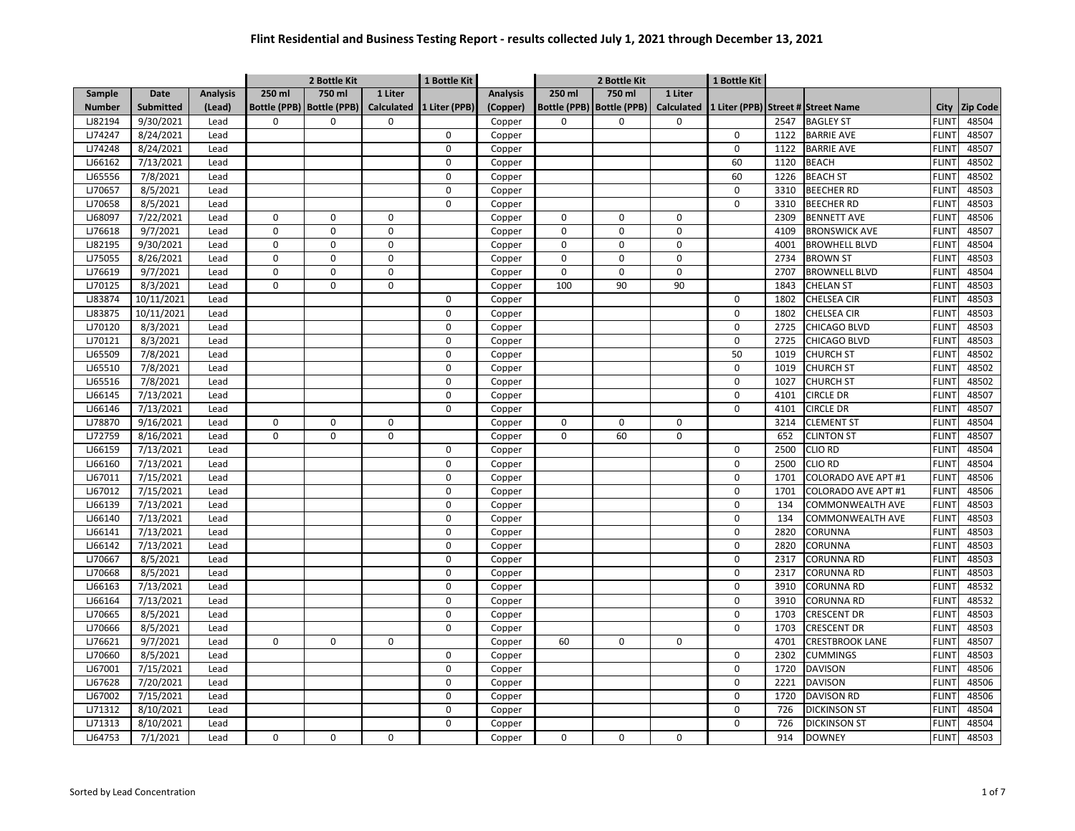|               |                  |                 |              | 2 Bottle Kit                |             | 1 Bottle Kit             |                 |             | 2 Bottle Kit                |                   | 1 Bottle Kit |      |                                    |              |                 |
|---------------|------------------|-----------------|--------------|-----------------------------|-------------|--------------------------|-----------------|-------------|-----------------------------|-------------------|--------------|------|------------------------------------|--------------|-----------------|
| Sample        | <b>Date</b>      | <b>Analysis</b> | 250 ml       | 750 ml                      | 1 Liter     |                          | <b>Analysis</b> | 250 ml      | 750 ml                      | 1 Liter           |              |      |                                    |              |                 |
| <b>Number</b> | <b>Submitted</b> | (Lead)          |              | Bottle (PPB)   Bottle (PPB) |             | Calculated 1 Liter (PPB) | (Copper)        |             | Bottle (PPB)   Bottle (PPB) | <b>Calculated</b> |              |      | 1 Liter (PPB) Street # Street Name | City         | <b>Zip Code</b> |
| LJ82194       | 9/30/2021        | Lead            | $\Omega$     | 0                           | $\Omega$    |                          | Copper          | $\Omega$    | 0                           | $\Omega$          |              | 2547 | <b>BAGLEY ST</b>                   | <b>FLINT</b> | 48504           |
| LJ74247       | 8/24/2021        | Lead            |              |                             |             | 0                        | Copper          |             |                             |                   | 0            | 1122 | <b>BARRIE AVE</b>                  | <b>FLINT</b> | 48507           |
| LJ74248       | 8/24/2021        | Lead            |              |                             |             | 0                        | Copper          |             |                             |                   | $\mathsf 0$  | 1122 | <b>BARRIE AVE</b>                  | <b>FLINT</b> | 48507           |
| LJ66162       | 7/13/2021        | Lead            |              |                             |             | $\mathbf 0$              | Copper          |             |                             |                   | 60           | 1120 | <b>BEACH</b>                       | <b>FLINT</b> | 48502           |
| LJ65556       | 7/8/2021         | Lead            |              |                             |             | $\pmb{0}$                | Copper          |             |                             |                   | 60           | 1226 | <b>BEACH ST</b>                    | <b>FLINT</b> | 48502           |
| LJ70657       | 8/5/2021         | Lead            |              |                             |             | $\mathbf 0$              | Copper          |             |                             |                   | $\mathbf 0$  | 3310 | <b>BEECHER RD</b>                  | <b>FLINT</b> | 48503           |
| LJ70658       | 8/5/2021         | Lead            |              |                             |             | 0                        | Copper          |             |                             |                   | 0            | 3310 | <b>BEECHER RD</b>                  | <b>FLINT</b> | 48503           |
| LJ68097       | 7/22/2021        | Lead            | $\mathbf 0$  | 0                           | $\mathbf 0$ |                          | Copper          | $\mathbf 0$ | $\mathbf 0$                 | 0                 |              | 2309 | <b>BENNETT AVE</b>                 | <b>FLINT</b> | 48506           |
| LJ76618       | 9/7/2021         | Lead            | 0            | 0                           | $\mathbf 0$ |                          | Copper          | $\Omega$    | $\mathbf 0$                 | $\mathbf 0$       |              | 4109 | <b>BRONSWICK AVE</b>               | <b>FLINT</b> | 48507           |
| LJ82195       | 9/30/2021        | Lead            | 0            | 0                           | $\mathbf 0$ |                          | Copper          | $\Omega$    | $\mathbf 0$                 | 0                 |              | 4001 | <b>BROWHELL BLVD</b>               | <b>FLINT</b> | 48504           |
| LJ75055       | 8/26/2021        | Lead            | $\mathsf{o}$ | 0                           | $\mathbf 0$ |                          | Copper          | $\mathbf 0$ | $\mathsf 0$                 | 0                 |              | 2734 | <b>BROWN ST</b>                    | <b>FLINT</b> | 48503           |
| LJ76619       | 9/7/2021         | Lead            | $\mathbf 0$  | 0                           | $\mathbf 0$ |                          | Copper          | $\Omega$    | $\mathbf 0$                 | 0                 |              | 2707 | <b>BROWNELL BLVD</b>               | <b>FLINT</b> | 48504           |
| LJ70125       | 8/3/2021         | Lead            | $\mathbf 0$  | 0                           | $\Omega$    |                          | Copper          | 100         | 90                          | 90                |              | 1843 | <b>CHELAN ST</b>                   | <b>FLINT</b> | 48503           |
| LJ83874       | 10/11/2021       | Lead            |              |                             |             | $\Omega$                 | Copper          |             |                             |                   | 0            | 1802 | CHELSEA CIR                        | <b>FLINT</b> | 48503           |
| LJ83875       | 10/11/2021       | Lead            |              |                             |             | $\mathbf 0$              | Copper          |             |                             |                   | $\mathsf 0$  | 1802 | CHELSEA CIR                        | <b>FLINT</b> | 48503           |
| LJ70120       | 8/3/2021         | Lead            |              |                             |             | 0                        | Copper          |             |                             |                   | 0            | 2725 | CHICAGO BLVD                       | <b>FLINT</b> | 48503           |
| LJ70121       | 8/3/2021         | Lead            |              |                             |             | 0                        | Copper          |             |                             |                   | $\mathbf 0$  | 2725 | CHICAGO BLVD                       | <b>FLIN</b>  | 48503           |
| LJ65509       | 7/8/2021         | Lead            |              |                             |             | 0                        | Copper          |             |                             |                   | 50           | 1019 | <b>CHURCH ST</b>                   | <b>FLINT</b> | 48502           |
| LJ65510       | 7/8/2021         | Lead            |              |                             |             | 0                        | Copper          |             |                             |                   | $\mathbf 0$  | 1019 | <b>CHURCH ST</b>                   | <b>FLINT</b> | 48502           |
| LJ65516       | 7/8/2021         | Lead            |              |                             |             | $\Omega$                 | Copper          |             |                             |                   | 0            | 1027 | <b>CHURCH ST</b>                   | <b>FLIN</b>  | 48502           |
| LJ66145       | 7/13/2021        | Lead            |              |                             |             | $\Omega$                 | Copper          |             |                             |                   | 0            | 4101 | <b>CIRCLE DR</b>                   | <b>FLINT</b> | 48507           |
| LJ66146       | 7/13/2021        | Lead            |              |                             |             | 0                        | Copper          |             |                             |                   | 0            | 4101 | CIRCLE DR                          | <b>FLIN</b>  | 48507           |
| LJ78870       | 9/16/2021        | Lead            | 0            | 0                           | $\mathbf 0$ |                          | Copper          | 0           | $\mathbf 0$                 | 0                 |              | 3214 | <b>CLEMENT ST</b>                  | <b>FLIN</b>  | 48504           |
| LJ72759       | 8/16/2021        | Lead            | $\mathbf 0$  | 0                           | $\mathbf 0$ |                          | Copper          | $\Omega$    | 60                          | 0                 |              | 652  | <b>CLINTON ST</b>                  | <b>FLINT</b> | 48507           |
| LJ66159       | 7/13/2021        | Lead            |              |                             |             | 0                        | Copper          |             |                             |                   | 0            | 2500 | <b>CLIO RD</b>                     | <b>FLINT</b> | 48504           |
| LJ66160       | 7/13/2021        | Lead            |              |                             |             | 0                        | Copper          |             |                             |                   | $\mathsf 0$  | 2500 | <b>CLIO RD</b>                     | <b>FLINT</b> | 48504           |
| LJ67011       | 7/15/2021        | Lead            |              |                             |             | 0                        | Copper          |             |                             |                   | 0            | 1701 | COLORADO AVE APT #1                | <b>FLINT</b> | 48506           |
| LJ67012       | 7/15/2021        | Lead            |              |                             |             | $\pmb{0}$                | Copper          |             |                             |                   | $\mathbf 0$  | 1701 | COLORADO AVE APT #1                | <b>FLINT</b> | 48506           |
| LJ66139       | 7/13/2021        | Lead            |              |                             |             | $\pmb{0}$                | Copper          |             |                             |                   | $\mathsf 0$  | 134  | COMMONWEALTH AVE                   | <b>FLINT</b> | 48503           |
| LJ66140       | 7/13/2021        | Lead            |              |                             |             | $\mathbf 0$              | Copper          |             |                             |                   | $\mathbf 0$  | 134  | COMMONWEALTH AVE                   | <b>FLINT</b> | 48503           |
| LJ66141       | 7/13/2021        | Lead            |              |                             |             | 0                        | Copper          |             |                             |                   | 0            | 2820 | CORUNNA                            | <b>FLINT</b> | 48503           |
| LJ66142       | 7/13/2021        | Lead            |              |                             |             | 0                        | Copper          |             |                             |                   | $\mathbf 0$  | 2820 | CORUNNA                            | <b>FLINT</b> | 48503           |
| LJ70667       | 8/5/2021         | Lead            |              |                             |             | 0                        | Copper          |             |                             |                   | $\mathsf 0$  | 2317 | CORUNNA RD                         | <b>FLINT</b> | 48503           |
| LJ70668       | 8/5/2021         | Lead            |              |                             |             | 0                        | Copper          |             |                             |                   | $\mathsf 0$  | 2317 | CORUNNA RD                         | <b>FLINT</b> | 48503           |
| LJ66163       | 7/13/2021        | Lead            |              |                             |             | 0                        | Copper          |             |                             |                   | 0            | 3910 | <b>CORUNNA RD</b>                  | <b>FLINT</b> | 48532           |
| LJ66164       | 7/13/2021        | Lead            |              |                             |             | 0                        | Copper          |             |                             |                   | 0            | 3910 | CORUNNA RD                         | <b>FLINT</b> | 48532           |
| LJ70665       | 8/5/2021         | Lead            |              |                             |             | 0                        | Copper          |             |                             |                   | 0            | 1703 | <b>CRESCENT DR</b>                 | <b>FLINT</b> | 48503           |
| LJ70666       | 8/5/2021         | Lead            |              |                             |             | 0                        | Copper          |             |                             |                   | $\mathbf 0$  | 1703 | <b>CRESCENT DR</b>                 | <b>FLINT</b> | 48503           |
| LJ76621       | 9/7/2021         | Lead            | $\pmb{0}$    | 0                           | 0           |                          | Copper          | 60          | 0                           | 0                 |              | 4701 | <b>CRESTBROOK LANE</b>             | <b>FLINT</b> | 48507           |
| LJ70660       | 8/5/2021         | Lead            |              |                             |             | $\mathbf 0$              | Copper          |             |                             |                   | $\mathbf 0$  | 2302 | <b>CUMMINGS</b>                    | <b>FLINT</b> | 48503           |
| LJ67001       | 7/15/2021        | Lead            |              |                             |             | 0                        | Copper          |             |                             |                   | 0            | 1720 | <b>DAVISON</b>                     | <b>FLINT</b> | 48506           |
| LJ67628       | 7/20/2021        | Lead            |              |                             |             | $\Omega$                 | Copper          |             |                             |                   | $\Omega$     | 2221 | <b>DAVISON</b>                     | <b>FLINT</b> | 48506           |
| LJ67002       | 7/15/2021        | Lead            |              |                             |             | 0                        | Copper          |             |                             |                   | 0            | 1720 | <b>DAVISON RD</b>                  | <b>FLINT</b> | 48506           |
| LJ71312       | 8/10/2021        | Lead            |              |                             |             | $\Omega$                 | Copper          |             |                             |                   | $\pmb{0}$    | 726  | <b>DICKINSON ST</b>                | <b>FLIN</b>  | 48504           |
| LJ71313       | 8/10/2021        | Lead            |              |                             |             | $\Omega$                 | Copper          |             |                             |                   | $\Omega$     | 726  | <b>DICKINSON ST</b>                | <b>FLINT</b> | 48504           |
| LJ64753       | 7/1/2021         | Lead            | $\mathbf 0$  | 0                           | $\mathbf 0$ |                          | Copper          | 0           | 0                           | 0                 |              | 914  | <b>DOWNEY</b>                      | <b>FLINT</b> | 48503           |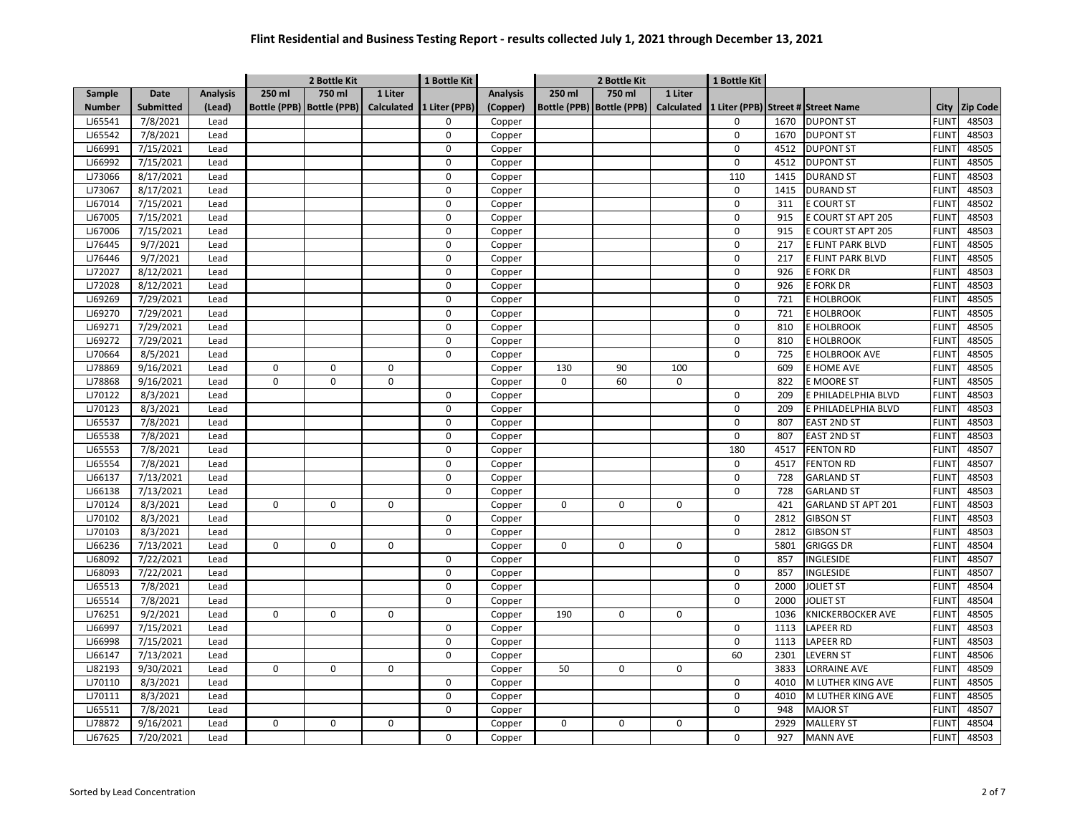|               |                  |                 |           | 2 Bottle Kit                |             | 1 Bottle Kit             |                 | 2 Bottle Kit |                             |            | 1 Bottle Kit                       |      |                     |              |                 |
|---------------|------------------|-----------------|-----------|-----------------------------|-------------|--------------------------|-----------------|--------------|-----------------------------|------------|------------------------------------|------|---------------------|--------------|-----------------|
| Sample        | Date             | <b>Analysis</b> | 250 ml    | 750 ml                      | 1 Liter     |                          | <b>Analysis</b> | 250 ml       | 750 ml                      | 1 Liter    |                                    |      |                     |              |                 |
| <b>Number</b> | <b>Submitted</b> | (Lead)          |           | Bottle (PPB)   Bottle (PPB) |             | Calculated 1 Liter (PPB) | (Copper)        |              | Bottle (PPB)   Bottle (PPB) | Calculated | 1 Liter (PPB) Street # Street Name |      |                     | City         | <b>Zip Code</b> |
| LJ65541       | 7/8/2021         | Lead            |           |                             |             | $\Omega$                 | Copper          |              |                             |            | 0                                  | 1670 | <b>DUPONT ST</b>    | <b>FLINT</b> | 48503           |
| LJ65542       | 7/8/2021         | Lead            |           |                             |             | 0                        | Copper          |              |                             |            | 0                                  | 1670 | <b>DUPONT ST</b>    | <b>FLINT</b> | 48503           |
| LJ66991       | 7/15/2021        | Lead            |           |                             |             | 0                        | Copper          |              |                             |            | 0                                  | 4512 | <b>DUPONT ST</b>    | <b>FLINT</b> | 48505           |
| LJ66992       | 7/15/2021        | Lead            |           |                             |             | 0                        | Copper          |              |                             |            | $\mathbf 0$                        | 4512 | <b>DUPONT ST</b>    | <b>FLIN</b>  | 48505           |
| LJ73066       | 8/17/2021        | Lead            |           |                             |             | 0                        | Copper          |              |                             |            | 110                                | 1415 | <b>DURAND ST</b>    | <b>FLINT</b> | 48503           |
| LJ73067       | 8/17/2021        | Lead            |           |                             |             | 0                        | Copper          |              |                             |            | $\mathbf 0$                        | 1415 | <b>DURAND ST</b>    | <b>FLINT</b> | 48503           |
| LJ67014       | 7/15/2021        | Lead            |           |                             |             | 0                        | Copper          |              |                             |            | 0                                  | 311  | <b>E COURT ST</b>   | <b>FLINT</b> | 48502           |
| LJ67005       | 7/15/2021        | Lead            |           |                             |             | 0                        | Copper          |              |                             |            | 0                                  | 915  | E COURT ST APT 205  | <b>FLINT</b> | 48503           |
| LJ67006       | 7/15/2021        | Lead            |           |                             |             | 0                        | Copper          |              |                             |            | 0                                  | 915  | E COURT ST APT 205  | <b>FLINT</b> | 48503           |
| LJ76445       | 9/7/2021         | Lead            |           |                             |             | $\mathbf 0$              | Copper          |              |                             |            | 0                                  | 217  | E FLINT PARK BLVD   | <b>FLINT</b> | 48505           |
| LJ76446       | 9/7/2021         | Lead            |           |                             |             | $\pmb{0}$                | Copper          |              |                             |            | 0                                  | 217  | E FLINT PARK BLVD   | <b>FLINT</b> | 48505           |
| LJ72027       | 8/12/2021        | Lead            |           |                             |             | $\mathbf 0$              | Copper          |              |                             |            | 0                                  | 926  | E FORK DR           | <b>FLINT</b> | 48503           |
| LJ72028       | 8/12/2021        | Lead            |           |                             |             | 0                        | Copper          |              |                             |            | 0                                  | 926  | E FORK DR           | <b>FLINT</b> | 48503           |
| LJ69269       | 7/29/2021        | Lead            |           |                             |             | 0                        | Copper          |              |                             |            | 0                                  | 721  | E HOLBROOK          | <b>FLINT</b> | 48505           |
| LJ69270       | 7/29/2021        | Lead            |           |                             |             | 0                        | Copper          |              |                             |            | 0                                  | 721  | E HOLBROOK          | <b>FLINT</b> | 48505           |
| LJ69271       | 7/29/2021        | Lead            |           |                             |             | 0                        | Copper          |              |                             |            | $\mathbf 0$                        | 810  | E HOLBROOK          | <b>FLINT</b> | 48505           |
| LJ69272       | 7/29/2021        | Lead            |           |                             |             | 0                        | Copper          |              |                             |            | $\mathbf 0$                        | 810  | E HOLBROOK          | <b>FLINT</b> | 48505           |
| LJ70664       | 8/5/2021         | Lead            |           |                             |             | 0                        | Copper          |              |                             |            | 0                                  | 725  | E HOLBROOK AVE      | <b>FLINT</b> | 48505           |
| LJ78869       | 9/16/2021        | Lead            | 0         | 0                           | $\mathsf 0$ |                          | Copper          | 130          | 90                          | 100        |                                    | 609  | E HOME AVE          | <b>FLINT</b> | 48505           |
| LJ78868       | 9/16/2021        | Lead            | $\pmb{0}$ | $\Omega$                    | $\Omega$    |                          | Copper          | $\Omega$     | 60                          | 0          |                                    | 822  | E MOORE ST          | <b>FLINT</b> | 48505           |
| LJ70122       | 8/3/2021         | Lead            |           |                             |             | $\mathbf 0$              | Copper          |              |                             |            | $\mathbf 0$                        | 209  | E PHILADELPHIA BLVD | <b>FLINT</b> | 48503           |
| LJ70123       | 8/3/2021         | Lead            |           |                             |             | 0                        | Copper          |              |                             |            | 0                                  | 209  | E PHILADELPHIA BLVD | <b>FLINT</b> | 48503           |
| LJ65537       | 7/8/2021         | Lead            |           |                             |             | 0                        | Copper          |              |                             |            | 0                                  | 807  | <b>EAST 2ND ST</b>  | <b>FLINT</b> | 48503           |
| LJ65538       | 7/8/2021         | Lead            |           |                             |             | 0                        | Copper          |              |                             |            | 0                                  | 807  | <b>EAST 2ND ST</b>  | <b>FLIN</b>  | 48503           |
| LJ65553       | 7/8/2021         | Lead            |           |                             |             | 0                        | Copper          |              |                             |            | 180                                | 4517 | <b>FENTON RD</b>    | <b>FLINT</b> | 48507           |
| LJ65554       | 7/8/2021         | Lead            |           |                             |             | 0                        | Copper          |              |                             |            | $\mathbf 0$                        | 4517 | <b>FENTON RD</b>    | <b>FLIN</b>  | 48507           |
| LJ66137       | 7/13/2021        | Lead            |           |                             |             | 0                        | Copper          |              |                             |            | 0                                  | 728  | <b>GARLAND ST</b>   | <b>FLINT</b> | 48503           |
| LJ66138       | 7/13/2021        | Lead            |           |                             |             | 0                        | Copper          |              |                             |            | 0                                  | 728  | <b>GARLAND ST</b>   | <b>FLIN</b>  | 48503           |
| LJ70124       | 8/3/2021         | Lead            | 0         | 0                           | $\mathbf 0$ |                          | Copper          | $\mathbf 0$  | 0                           | 0          |                                    | 421  | GARLAND ST APT 201  | <b>FLINT</b> | 48503           |
| LJ70102       | 8/3/2021         | Lead            |           |                             |             | 0                        | Copper          |              |                             |            | $\mathsf 0$                        | 2812 | <b>GIBSON ST</b>    | <b>FLINT</b> | 48503           |
| LJ70103       | 8/3/2021         | Lead            |           |                             |             | 0                        | Copper          |              |                             |            | $\Omega$                           | 2812 | <b>GIBSON ST</b>    | <b>FLINT</b> | 48503           |
| LJ66236       | 7/13/2021        | Lead            | 0         | 0                           | $\mathbf 0$ |                          | Copper          | $\mathbf 0$  | $\mathbf 0$                 | 0          |                                    | 5801 | <b>GRIGGS DR</b>    | <b>FLINT</b> | 48504           |
| LJ68092       | 7/22/2021        | Lead            |           |                             |             | 0                        | Copper          |              |                             |            | $\mathbf 0$                        | 857  | INGLESIDE           | <b>FLINT</b> | 48507           |
| LJ68093       | 7/22/2021        | Lead            |           |                             |             | $\pmb{0}$                | Copper          |              |                             |            | $\mathbf 0$                        | 857  | INGLESIDE           | <b>FLINT</b> | 48507           |
| LJ65513       | 7/8/2021         | Lead            |           |                             |             | 0                        | Copper          |              |                             |            | 0                                  | 2000 | <b>JOLIET ST</b>    | <b>FLINT</b> | 48504           |
| LJ65514       | 7/8/2021         | Lead            |           |                             |             | $\mathbf 0$              | Copper          |              |                             |            | $\mathbf 0$                        | 2000 | <b>JOLIET ST</b>    | <b>FLINT</b> | 48504           |
| LJ76251       | 9/2/2021         | Lead            | 0         | 0                           | $\mathbf 0$ |                          | Copper          | 190          | $\mathbf 0$                 | 0          |                                    | 1036 | KNICKERBOCKER AVE   | <b>FLINT</b> | 48505           |
| LJ66997       | 7/15/2021        | Lead            |           |                             |             | 0                        | Copper          |              |                             |            | $\mathbf 0$                        | 1113 | LAPEER RD           | <b>FLINT</b> | 48503           |
| LJ66998       | 7/15/2021        | Lead            |           |                             |             | 0                        | Copper          |              |                             |            | $\mathbf 0$                        | 1113 | LAPEER RD           | <b>FLINT</b> | 48503           |
| LJ66147       | 7/13/2021        | Lead            |           |                             |             | 0                        | Copper          |              |                             |            | 60                                 | 2301 | <b>LEVERN ST</b>    | <b>FLINT</b> | 48506           |
| LJ82193       | 9/30/2021        | Lead            | 0         | 0                           | $\mathbf 0$ |                          | Copper          | 50           | 0                           | 0          |                                    | 3833 | LORRAINE AVE        | <b>FLINT</b> | 48509           |
| LJ70110       | 8/3/2021         | Lead            |           |                             |             | $\mathbf 0$              | Copper          |              |                             |            | $\mathbf 0$                        | 4010 | M LUTHER KING AVE   | <b>FLINT</b> | 48505           |
| LJ70111       | 8/3/2021         | Lead            |           |                             |             | 0                        | Copper          |              |                             |            | $\mathsf 0$                        | 4010 | M LUTHER KING AVE   | <b>FLINT</b> | 48505           |
| LJ65511       | 7/8/2021         | Lead            |           |                             |             | 0                        | Copper          |              |                             |            | $\Omega$                           | 948  | <b>MAJOR ST</b>     | <b>FLINT</b> | 48507           |
| LJ78872       | 9/16/2021        | Lead            | $\pmb{0}$ | $\Omega$                    | $\mathsf 0$ |                          | Copper          | 0            | $\mathbf 0$                 | 0          |                                    | 2929 | <b>MALLERY ST</b>   | <b>FLINT</b> | 48504           |
| LJ67625       | 7/20/2021        | Lead            |           |                             |             | 0                        | Copper          |              |                             |            | $\Omega$                           | 927  | <b>MANN AVE</b>     | <b>FLINT</b> | 48503           |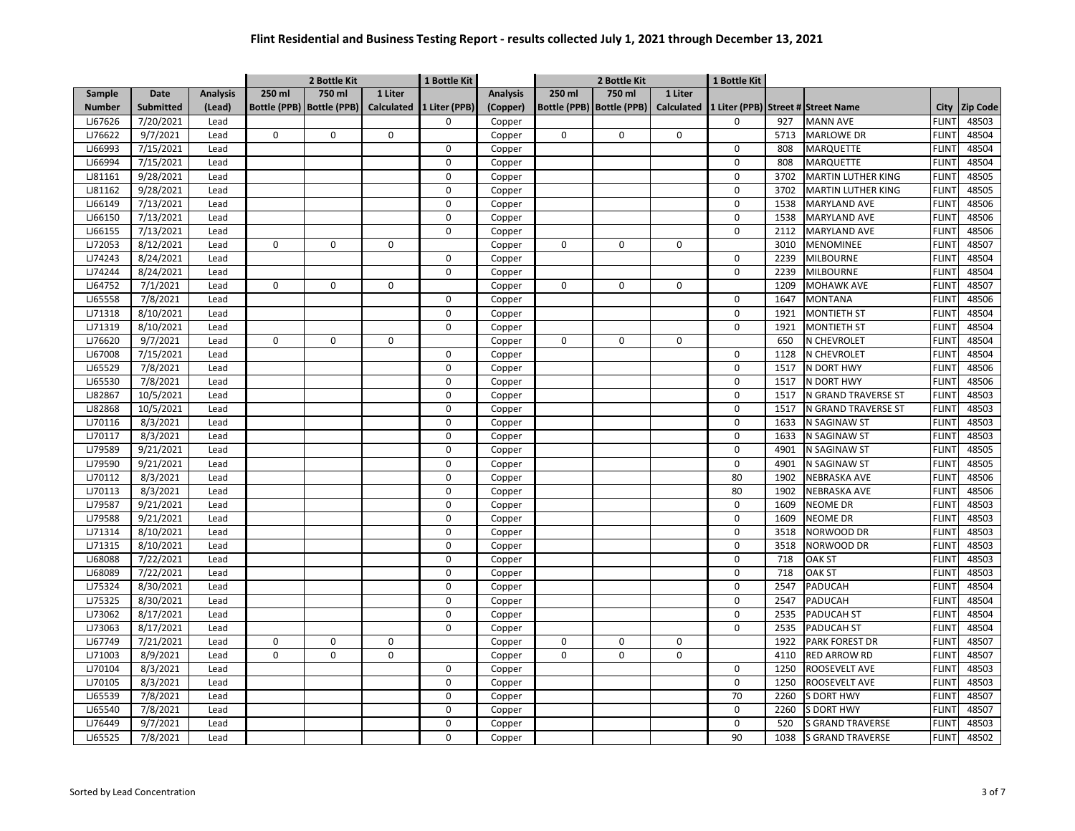|               |                  |                 |             | 2 Bottle Kit                |             | 1 Bottle Kit             |                 |             | 2 Bottle Kit                |             | 1 Bottle Kit |      |                                    |              |                 |
|---------------|------------------|-----------------|-------------|-----------------------------|-------------|--------------------------|-----------------|-------------|-----------------------------|-------------|--------------|------|------------------------------------|--------------|-----------------|
| Sample        | Date             | <b>Analysis</b> | 250 ml      | 750 ml                      | 1 Liter     |                          | <b>Analysis</b> | 250 ml      | 750 ml                      | 1 Liter     |              |      |                                    |              |                 |
| <b>Number</b> | <b>Submitted</b> | (Lead)          |             | Bottle (PPB)   Bottle (PPB) |             | Calculated 1 Liter (PPB) | (Copper)        |             | Bottle (PPB)   Bottle (PPB) | Calculated  |              |      | 1 Liter (PPB) Street # Street Name | City         | <b>Zip Code</b> |
| LJ67626       | 7/20/2021        | Lead            |             |                             |             | 0                        | Copper          |             |                             |             | 0            | 927  | <b>MANN AVE</b>                    | <b>FLINT</b> | 48503           |
| LJ76622       | 9/7/2021         | Lead            | 0           | 0                           | $\mathbf 0$ |                          | Copper          | $\pmb{0}$   | $\mathsf 0$                 | 0           |              | 5713 | <b>MARLOWE DR</b>                  | <b>FLINT</b> | 48504           |
| LJ66993       | 7/15/2021        | Lead            |             |                             |             | 0                        | Copper          |             |                             |             | 0            | 808  | MARQUETTE                          | <b>FLINT</b> | 48504           |
| LJ66994       | 7/15/2021        | Lead            |             |                             |             | 0                        | Copper          |             |                             |             | 0            | 808  | MARQUETTE                          | <b>FLIN</b>  | 48504           |
| LJ81161       | 9/28/2021        | Lead            |             |                             |             | 0                        | Copper          |             |                             |             | 0            | 3702 | <b>MARTIN LUTHER KING</b>          | <b>FLINT</b> | 48505           |
| LJ81162       | 9/28/2021        | Lead            |             |                             |             | 0                        | Copper          |             |                             |             | 0            | 3702 | MARTIN LUTHER KING                 | <b>FLINT</b> | 48505           |
| LJ66149       | 7/13/2021        | Lead            |             |                             |             | 0                        | Copper          |             |                             |             | 0            | 1538 | MARYLAND AVE                       | <b>FLINT</b> | 48506           |
| LJ66150       | 7/13/2021        | Lead            |             |                             |             | 0                        | Copper          |             |                             |             | $\mathsf 0$  | 1538 | <b>MARYLAND AVE</b>                | <b>FLINT</b> | 48506           |
| LJ66155       | 7/13/2021        | Lead            |             |                             |             | 0                        | Copper          |             |                             |             | 0            | 2112 | MARYLAND AVE                       | <b>FLINT</b> | 48506           |
| LJ72053       | 8/12/2021        | Lead            | 0           | 0                           | $\mathbf 0$ |                          | Copper          | $\mathbf 0$ | $\mathbf 0$                 | $\mathbf 0$ |              | 3010 | MENOMINEE                          | <b>FLINT</b> | 48507           |
| LJ74243       | 8/24/2021        | Lead            |             |                             |             | 0                        | Copper          |             |                             |             | $\mathbf 0$  | 2239 | <b>MILBOURNE</b>                   | <b>FLINT</b> | 48504           |
| LJ74244       | 8/24/2021        | Lead            |             |                             |             | 0                        | Copper          |             |                             |             | 0            | 2239 | <b>MILBOURNE</b>                   | <b>FLINT</b> | 48504           |
| LJ64752       | 7/1/2021         | Lead            | 0           | 0                           | $\mathbf 0$ |                          | Copper          | $\mathbf 0$ | $\mathbf 0$                 | 0           |              | 1209 | <b>MOHAWK AVE</b>                  | <b>FLINT</b> | 48507           |
| LJ65558       | 7/8/2021         | Lead            |             |                             |             | 0                        | Copper          |             |                             |             | $\mathbf 0$  | 1647 | <b>MONTANA</b>                     | <b>FLINT</b> | 48506           |
| LJ71318       | 8/10/2021        | Lead            |             |                             |             | 0                        | Copper          |             |                             |             | $\mathsf 0$  | 1921 | <b>MONTIETH ST</b>                 | <b>FLINT</b> | 48504           |
| LJ71319       | 8/10/2021        | Lead            |             |                             |             | 0                        | Copper          |             |                             |             | 0            | 1921 | <b>MONTIETH ST</b>                 | <b>FLINT</b> | 48504           |
| LJ76620       | 9/7/2021         | Lead            | $\mathbf 0$ | 0                           | 0           |                          | Copper          | $\mathbf 0$ | $\mathbf 0$                 | 0           |              | 650  | N CHEVROLET                        | <b>FLINT</b> | 48504           |
| LJ67008       | 7/15/2021        | Lead            |             |                             |             | 0                        | Copper          |             |                             |             | 0            | 1128 | N CHEVROLET                        | <b>FLINT</b> | 48504           |
| LJ65529       | 7/8/2021         | Lead            |             |                             |             | 0                        | Copper          |             |                             |             | $\mathbf 0$  | 1517 | N DORT HWY                         | <b>FLINT</b> | 48506           |
| LJ65530       | 7/8/2021         | Lead            |             |                             |             | 0                        | Copper          |             |                             |             | 0            | 1517 | N DORT HWY                         | <b>FLINT</b> | 48506           |
| LJ82867       | 10/5/2021        | Lead            |             |                             |             | 0                        | Copper          |             |                             |             | 0            | 1517 | N GRAND TRAVERSE ST                | <b>FLINT</b> | 48503           |
| LJ82868       | 10/5/2021        | Lead            |             |                             |             | 0                        | Copper          |             |                             |             | 0            | 1517 | N GRAND TRAVERSE ST                | <b>FLIN</b>  | 48503           |
| LJ70116       | 8/3/2021         | Lead            |             |                             |             | 0                        | Copper          |             |                             |             | 0            | 1633 | N SAGINAW ST                       | <b>FLINT</b> | 48503           |
| LJ70117       | 8/3/2021         | Lead            |             |                             |             | 0                        | Copper          |             |                             |             | 0            | 1633 | N SAGINAW ST                       | <b>FLINT</b> | 48503           |
| LJ79589       | 9/21/2021        | Lead            |             |                             |             | 0                        | Copper          |             |                             |             | 0            | 4901 | N SAGINAW ST                       | <b>FLINT</b> | 48505           |
| LJ79590       | 9/21/2021        | Lead            |             |                             |             | 0                        | Copper          |             |                             |             | 0            | 4901 | N SAGINAW ST                       | <b>FLINT</b> | 48505           |
| LJ70112       | 8/3/2021         | Lead            |             |                             |             | 0                        | Copper          |             |                             |             | 80           | 1902 | NEBRASKA AVE                       | <b>FLINT</b> | 48506           |
| LJ70113       | 8/3/2021         | Lead            |             |                             |             | 0                        | Copper          |             |                             |             | 80           | 1902 | NEBRASKA AVE                       | <b>FLINT</b> | 48506           |
| LJ79587       | 9/21/2021        | Lead            |             |                             |             | 0                        | Copper          |             |                             |             | $\mathbf 0$  | 1609 | NEOME DR                           | <b>FLINT</b> | 48503           |
| LJ79588       | 9/21/2021        | Lead            |             |                             |             | $\pmb{0}$                | Copper          |             |                             |             | 0            | 1609 | <b>NEOME DR</b>                    | <b>FLINT</b> | 48503           |
| LJ71314       | 8/10/2021        | Lead            |             |                             |             | $\mathbf 0$              | Copper          |             |                             |             | 0            | 3518 | NORWOOD DR                         | <b>FLINT</b> | 48503           |
| LJ71315       | 8/10/2021        | Lead            |             |                             |             | 0                        | Copper          |             |                             |             | 0            | 3518 | NORWOOD DR                         | <b>FLINT</b> | 48503           |
| LJ68088       | 7/22/2021        | Lead            |             |                             |             | 0                        | Copper          |             |                             |             | 0            | 718  | OAK ST                             | <b>FLINT</b> | 48503           |
| LJ68089       | 7/22/2021        | Lead            |             |                             |             | 0                        | Copper          |             |                             |             | $\mathsf 0$  | 718  | <b>OAK ST</b>                      | <b>FLINT</b> | 48503           |
| LJ75324       | 8/30/2021        | Lead            |             |                             |             | 0                        | Copper          |             |                             |             | 0            | 2547 | PADUCAH                            | <b>FLINT</b> | 48504           |
| LJ75325       | 8/30/2021        | Lead            |             |                             |             | 0                        | Copper          |             |                             |             | 0            | 2547 | PADUCAH                            | <b>FLINT</b> | 48504           |
| LJ73062       | 8/17/2021        | Lead            |             |                             |             | 0                        | Copper          |             |                             |             | 0            | 2535 | <b>PADUCAH ST</b>                  | <b>FLINT</b> | 48504           |
| LJ73063       | 8/17/2021        | Lead            |             |                             |             | 0                        | Copper          |             |                             |             | $\mathbf 0$  | 2535 | <b>PADUCAH ST</b>                  | <b>FLINT</b> | 48504           |
| LJ67749       | 7/21/2021        | Lead            | 0           | 0                           | 0           |                          | Copper          | $\Omega$    | 0                           | 0           |              | 1922 | <b>PARK FOREST DR</b>              | <b>FLINT</b> | 48507           |
| LJ71003       | 8/9/2021         | Lead            | 0           | 0                           | $\mathbf 0$ |                          | Copper          | $\mathbf 0$ | $\mathbf 0$                 | 0           |              | 4110 | <b>RED ARROW RD</b>                | <b>FLINT</b> | 48507           |
| LJ70104       | 8/3/2021         | Lead            |             |                             |             | 0                        | Copper          |             |                             |             | 0            | 1250 | ROOSEVELT AVE                      | <b>FLINT</b> | 48503           |
| LJ70105       | 8/3/2021         | Lead            |             |                             |             | 0                        | Copper          |             |                             |             | 0            | 1250 | ROOSEVELT AVE                      | <b>FLIN</b>  | 48503           |
| LJ65539       | 7/8/2021         | Lead            |             |                             |             | 0                        | Copper          |             |                             |             | 70           | 2260 | <b>S DORT HWY</b>                  | <b>FLIN</b>  | 48507           |
| LJ65540       | 7/8/2021         | Lead            |             |                             |             | 0                        | Copper          |             |                             |             | $\mathbf 0$  | 2260 | S DORT HWY                         | <b>FLIN</b>  | 48507           |
| LJ76449       | 9/7/2021         | Lead            |             |                             |             | 0                        | Copper          |             |                             |             | 0            | 520  | <b>S GRAND TRAVERSE</b>            | <b>FLINT</b> | 48503           |
| LJ65525       | 7/8/2021         | Lead            |             |                             |             | 0                        | Copper          |             |                             |             | 90           | 1038 | <b>S GRAND TRAVERSE</b>            | <b>FLINT</b> | 48502           |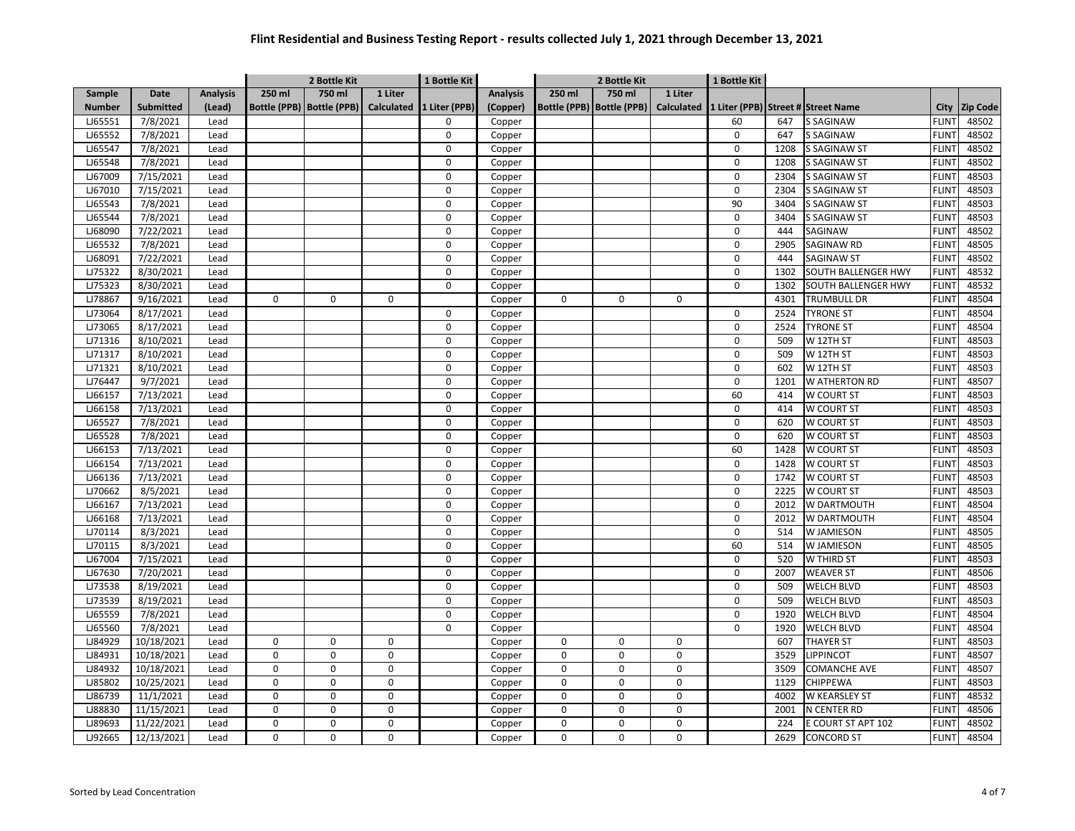|               |                  |                 |             | 2 Bottle Kit                |             | 1 Bottle Kit             |                 |             | 2 Bottle Kit                |                   | 1 Bottle Kit   |      |                                    |              |                 |
|---------------|------------------|-----------------|-------------|-----------------------------|-------------|--------------------------|-----------------|-------------|-----------------------------|-------------------|----------------|------|------------------------------------|--------------|-----------------|
| Sample        | Date             | <b>Analysis</b> | 250 ml      | 750 ml                      | 1 Liter     |                          | <b>Analysis</b> | 250 ml      | 750 ml                      | 1 Liter           |                |      |                                    |              |                 |
| <b>Number</b> | <b>Submitted</b> | (Lead)          |             | Bottle (PPB)   Bottle (PPB) |             | Calculated 1 Liter (PPB) | (Copper)        |             | Bottle (PPB)   Bottle (PPB) | <b>Calculated</b> |                |      | 1 Liter (PPB) Street # Street Name | City         | <b>Zip Code</b> |
| LJ65551       | 7/8/2021         | Lead            |             |                             |             | $\Omega$                 | Copper          |             |                             |                   | 60             | 647  | <b>S SAGINAW</b>                   | <b>FLINT</b> | 48502           |
| LJ65552       | 7/8/2021         | Lead            |             |                             |             | 0                        | Copper          |             |                             |                   | 0              | 647  | <b>S SAGINAW</b>                   | <b>FLINT</b> | 48502           |
| LJ65547       | 7/8/2021         | Lead            |             |                             |             | 0                        | Copper          |             |                             |                   | 0              | 1208 | S SAGINAW ST                       | <b>FLINT</b> | 48502           |
| LJ65548       | 7/8/2021         | Lead            |             |                             |             | 0                        | Copper          |             |                             |                   | 0              | 1208 | <b>S SAGINAW ST</b>                | <b>FLINT</b> | 48502           |
| LJ67009       | 7/15/2021        | Lead            |             |                             |             | 0                        | Copper          |             |                             |                   | 0              | 2304 | <b>S SAGINAW ST</b>                | <b>FLINT</b> | 48503           |
| LJ67010       | 7/15/2021        | Lead            |             |                             |             | 0                        | Copper          |             |                             |                   | 0              | 2304 | <b>S SAGINAW ST</b>                | <b>FLINT</b> | 48503           |
| LJ65543       | 7/8/2021         | Lead            |             |                             |             | $\pmb{0}$                | Copper          |             |                             |                   | 90             | 3404 | <b>S SAGINAW ST</b>                | <b>FLIN</b>  | 48503           |
| LJ65544       | 7/8/2021         | Lead            |             |                             |             | 0                        | Copper          |             |                             |                   | $\mathbf 0$    | 3404 | <b>S SAGINAW ST</b>                | <b>FLINT</b> | 48503           |
| LJ68090       | 7/22/2021        | Lead            |             |                             |             | $\pmb{0}$                | Copper          |             |                             |                   | $\mathbf 0$    | 444  | SAGINAW                            | <b>FLINT</b> | 48502           |
| LJ65532       | 7/8/2021         | Lead            |             |                             |             | $\mathbf 0$              | Copper          |             |                             |                   | $\mathbf 0$    | 2905 | SAGINAW RD                         | <b>FLINT</b> | 48505           |
| LJ68091       | 7/22/2021        | Lead            |             |                             |             | 0                        | Copper          |             |                             |                   | $\mathbf 0$    | 444  | <b>SAGINAW ST</b>                  | <b>FLINT</b> | 48502           |
| LJ75322       | 8/30/2021        | Lead            |             |                             |             | 0                        | Copper          |             |                             |                   | 0              | 1302 | SOUTH BALLENGER HWY                | <b>FLINT</b> | 48532           |
| LJ75323       | 8/30/2021        | Lead            |             |                             |             | 0                        | Copper          |             |                             |                   | $\mathbf 0$    | 1302 | SOUTH BALLENGER HWY                | <b>FLINT</b> | 48532           |
| LJ78867       | 9/16/2021        | Lead            | 0           | 0                           | $\Omega$    |                          | Copper          | $\mathbf 0$ | $\mathbf 0$                 | 0                 |                | 4301 | TRUMBULL DR                        | <b>FLINT</b> | 48504           |
| LJ73064       | 8/17/2021        | Lead            |             |                             |             | 0                        | Copper          |             |                             |                   | $\mathsf 0$    | 2524 | <b>TYRONE ST</b>                   | <b>FLIN</b>  | 48504           |
| LJ73065       | 8/17/2021        | Lead            |             |                             |             | 0                        | Copper          |             |                             |                   | 0              | 2524 | <b>TYRONE ST</b>                   | <b>FLINT</b> | 48504           |
| LJ71316       | 8/10/2021        | Lead            |             |                             |             | 0                        | Copper          |             |                             |                   | 0              | 509  | W 12TH ST                          | <b>FLINT</b> | 48503           |
| LJ71317       | 8/10/2021        | Lead            |             |                             |             | 0                        | Copper          |             |                             |                   | 0              | 509  | W 12TH ST                          | <b>FLINT</b> | 48503           |
| LJ71321       | 8/10/2021        | Lead            |             |                             |             | $\mathbf 0$              | Copper          |             |                             |                   | 0              | 602  | W 12TH ST                          | <b>FLINT</b> | 48503           |
| LJ76447       | 9/7/2021         | Lead            |             |                             |             | 0                        | Copper          |             |                             |                   | 0              | 1201 | W ATHERTON RD                      | <b>FLINT</b> | 48507           |
| LJ66157       | 7/13/2021        | Lead            |             |                             |             | $\Omega$                 | Copper          |             |                             |                   | 60             | 414  | W COURT ST                         | <b>FLIN</b>  | 48503           |
| LJ66158       | 7/13/2021        | Lead            |             |                             |             | 0                        | Copper          |             |                             |                   | 0              | 414  | W COURT ST                         | <b>FLINT</b> | 48503           |
| LJ65527       | 7/8/2021         | Lead            |             |                             |             | 0                        | Copper          |             |                             |                   | 0              | 620  | W COURT ST                         | <b>FLIN</b>  | 48503           |
| LJ65528       | 7/8/2021         | Lead            |             |                             |             | 0                        | Copper          |             |                             |                   | $\overline{0}$ | 620  | W COURT ST                         | <b>FLINT</b> | 48503           |
| LJ66153       | 7/13/2021        | Lead            |             |                             |             | 0                        | Copper          |             |                             |                   | 60             | 1428 | W COURT ST                         | <b>FLINT</b> | 48503           |
| LJ66154       | 7/13/2021        | Lead            |             |                             |             | 0                        | Copper          |             |                             |                   | 0              | 1428 | W COURT ST                         | <b>FLINT</b> | 48503           |
| LJ66136       | 7/13/2021        | Lead            |             |                             |             | 0                        | Copper          |             |                             |                   | 0              | 1742 | W COURT ST                         | <b>FLINT</b> | 48503           |
| LJ70662       | 8/5/2021         | Lead            |             |                             |             | $\pmb{0}$                | Copper          |             |                             |                   | $\mathsf 0$    | 2225 | W COURT ST                         | <b>FLINT</b> | 48503           |
| LJ66167       | 7/13/2021        | Lead            |             |                             |             | $\pmb{0}$                | Copper          |             |                             |                   | $\Omega$       | 2012 | W DARTMOUTH                        | <b>FLINT</b> | 48504           |
| LJ66168       | 7/13/2021        | Lead            |             |                             |             | 0                        | Copper          |             |                             |                   | 0              | 2012 | W DARTMOUTH                        | <b>FLINT</b> | 48504           |
| LJ70114       | 8/3/2021         | Lead            |             |                             |             | 0                        | Copper          |             |                             |                   | $\Omega$       | 514  | W JAMIESON                         | <b>FLINT</b> | 48505           |
| LJ70115       | 8/3/2021         | Lead            |             |                             |             | 0                        | Copper          |             |                             |                   | 60             | 514  | W JAMIESON                         | <b>FLINT</b> | 48505           |
| LJ67004       | 7/15/2021        | Lead            |             |                             |             | 0                        | Copper          |             |                             |                   | $\mathbf 0$    | 520  | W THIRD ST                         | <b>FLINT</b> | 48503           |
| LJ67630       | 7/20/2021        | Lead            |             |                             |             | $\overline{0}$           | Copper          |             |                             |                   | $\overline{0}$ | 2007 | <b>WEAVER ST</b>                   | <b>FLINT</b> | 48506           |
| LJ73538       | 8/19/2021        | Lead            |             |                             |             | 0                        | Copper          |             |                             |                   | 0              | 509  | WELCH BLVD                         | <b>FLINT</b> | 48503           |
| LJ73539       | 8/19/2021        | Lead            |             |                             |             | 0                        | Copper          |             |                             |                   | $\mathbf 0$    | 509  | <b>WELCH BLVD</b>                  | <b>FLINT</b> | 48503           |
| LJ65559       | 7/8/2021         | Lead            |             |                             |             | 0                        | Copper          |             |                             |                   | 0              | 1920 | WELCH BLVD                         | <b>FLINT</b> | 48504           |
| LJ65560       | 7/8/2021         | Lead            |             |                             |             | 0                        | Copper          |             |                             |                   | $\mathbf 0$    | 1920 | <b>WELCH BLVD</b>                  | <b>FLINT</b> | 48504           |
| LJ84929       | 10/18/2021       | Lead            | 0           | $\Omega$                    | $\mathbf 0$ |                          | Copper          | $\Omega$    | $\mathbf 0$                 | $\Omega$          |                | 607  | THAYER ST                          | <b>FLINT</b> | 48503           |
| LJ84931       | 10/18/2021       | Lead            | $\mathbf 0$ | $\Omega$                    | $\mathbf 0$ |                          | Copper          | $\Omega$    | $\mathbf 0$                 | 0                 |                | 3529 | <b>LIPPINCOT</b>                   | <b>FLINT</b> | 48507           |
| LJ84932       | 10/18/2021       | Lead            | 0           | $\Omega$                    | $\mathbf 0$ |                          | Copper          | $\Omega$    | $\mathbf 0$                 | $\Omega$          |                | 3509 | <b>COMANCHE AVE</b>                | <b>FLINT</b> | 48507           |
| LJ85802       | 10/25/2021       | Lead            | 0           | $\Omega$                    | $\mathbf 0$ |                          | Copper          | $\Omega$    | $\mathbf 0$                 | 0                 |                | 1129 | <b>CHIPPEWA</b>                    | <b>FLIN</b>  | 48503           |
| LJ86739       | 11/1/2021        | Lead            | $\mathbf 0$ | 0                           | $\Omega$    |                          | Copper          | $\Omega$    | $\mathbf 0$                 | 0                 |                | 4002 | W KEARSLEY ST                      | <b>FLINT</b> | 48532           |
| LJ88830       | 11/15/2021       | Lead            | $\pmb{0}$   | $\Omega$                    | $\mathbf 0$ |                          | Copper          | $\mathbf 0$ | $\mathbf 0$                 | 0                 |                | 2001 | N CENTER RD                        | <b>FLIN</b>  | 48506           |
| LJ89693       | 11/22/2021       | Lead            | 0           | 0                           | $\Omega$    |                          | Copper          | $\mathbf 0$ | 0                           | $\Omega$          |                | 224  | E COURT ST APT 102                 | <b>FLINT</b> | 48502           |
| LJ92665       | 12/13/2021       | Lead            | 0           | 0                           | 0           |                          | Copper          | $\mathbf 0$ | 0                           | 0                 |                | 2629 | <b>CONCORD ST</b>                  | <b>FLINT</b> | 48504           |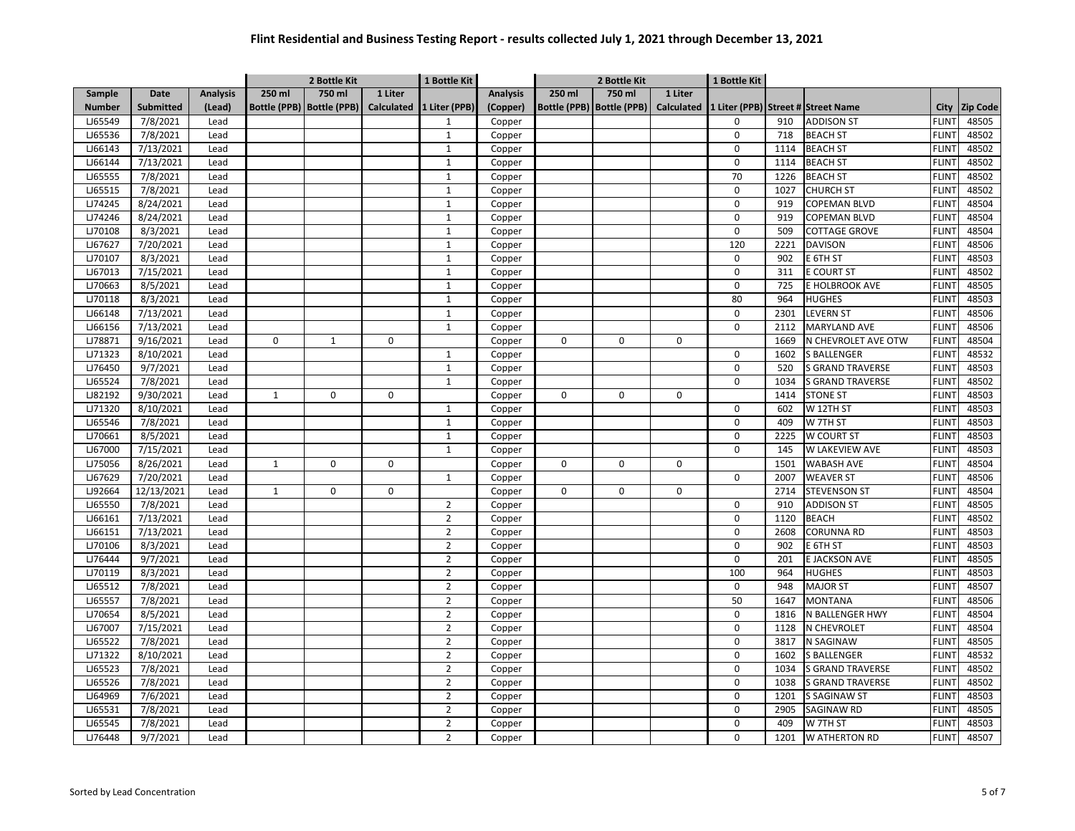|               |                  |                 | 2 Bottle Kit |                             |             | 1 Bottle Kit             |                 |             | 2 Bottle Kit                |                   | 1 Bottle Kit |      |                                    |              |                 |
|---------------|------------------|-----------------|--------------|-----------------------------|-------------|--------------------------|-----------------|-------------|-----------------------------|-------------------|--------------|------|------------------------------------|--------------|-----------------|
| Sample        | Date             | <b>Analysis</b> | 250 ml       | 750 ml                      | 1 Liter     |                          | <b>Analysis</b> | 250 ml      | 750 ml                      | 1 Liter           |              |      |                                    |              |                 |
| <b>Number</b> | <b>Submitted</b> | (Lead)          |              | Bottle (PPB)   Bottle (PPB) |             | Calculated 1 Liter (PPB) | (Copper)        |             | Bottle (PPB)   Bottle (PPB) | <b>Calculated</b> |              |      | 1 Liter (PPB) Street # Street Name | City         | <b>Zip Code</b> |
| LJ65549       | 7/8/2021         | Lead            |              |                             |             | $\mathbf{1}$             | Copper          |             |                             |                   | 0            | 910  | <b>ADDISON ST</b>                  | <b>FLINT</b> | 48505           |
| LJ65536       | 7/8/2021         | Lead            |              |                             |             | $\mathbf{1}$             | Copper          |             |                             |                   | 0            | 718  | <b>BEACH ST</b>                    | <b>FLINT</b> | 48502           |
| LJ66143       | 7/13/2021        | Lead            |              |                             |             | $\mathbf{1}$             | Copper          |             |                             |                   | 0            | 1114 | <b>BEACH ST</b>                    | <b>FLINT</b> | 48502           |
| LJ66144       | 7/13/2021        | Lead            |              |                             |             | $\mathbf{1}$             | Copper          |             |                             |                   | 0            | 1114 | <b>BEACH ST</b>                    | <b>FLINT</b> | 48502           |
| LJ65555       | 7/8/2021         | Lead            |              |                             |             | $\mathbf{1}$             | Copper          |             |                             |                   | 70           | 1226 | <b>BEACH ST</b>                    | <b>FLINT</b> | 48502           |
| LJ65515       | 7/8/2021         | Lead            |              |                             |             | $\mathbf{1}$             | Copper          |             |                             |                   | 0            | 1027 | <b>CHURCH ST</b>                   | <b>FLINT</b> | 48502           |
| LJ74245       | 8/24/2021        | Lead            |              |                             |             | $\mathbf{1}$             | Copper          |             |                             |                   | 0            | 919  | <b>COPEMAN BLVD</b>                | <b>FLINT</b> | 48504           |
| LJ74246       | 8/24/2021        | Lead            |              |                             |             | $\mathbf{1}$             | Copper          |             |                             |                   | $\mathsf 0$  | 919  | COPEMAN BLVD                       | <b>FLINT</b> | 48504           |
| LJ70108       | 8/3/2021         | Lead            |              |                             |             | $\mathbf{1}$             | Copper          |             |                             |                   | $\mathbf 0$  | 509  | <b>COTTAGE GROVE</b>               | <b>FLINT</b> | 48504           |
| LJ67627       | 7/20/2021        | Lead            |              |                             |             | $\mathbf{1}$             | Copper          |             |                             |                   | 120          | 2221 | <b>DAVISON</b>                     | <b>FLINT</b> | 48506           |
| LJ70107       | 8/3/2021         | Lead            |              |                             |             | $\mathbf{1}$             | Copper          |             |                             |                   | $\mathbf 0$  | 902  | E 6TH ST                           | <b>FLINT</b> | 48503           |
| LJ67013       | 7/15/2021        | Lead            |              |                             |             | $\mathbf{1}$             | Copper          |             |                             |                   | $\mathsf 0$  | 311  | E COURT ST                         | <b>FLINT</b> | 48502           |
| LJ70663       | 8/5/2021         | Lead            |              |                             |             | $\mathbf{1}$             | Copper          |             |                             |                   | $\mathbf 0$  | 725  | E HOLBROOK AVE                     | <b>FLINT</b> | 48505           |
| LJ70118       | 8/3/2021         | Lead            |              |                             |             | $\mathbf{1}$             | Copper          |             |                             |                   | 80           | 964  | HUGHES                             | <b>FLINT</b> | 48503           |
| LJ66148       | 7/13/2021        | Lead            |              |                             |             | $\mathbf{1}$             | Copper          |             |                             |                   | $\mathsf 0$  | 2301 | <b>LEVERN ST</b>                   | <b>FLINT</b> | 48506           |
| LJ66156       | 7/13/2021        | Lead            |              |                             |             | $\mathbf{1}$             | Copper          |             |                             |                   | 0            | 2112 | <b>MARYLAND AVE</b>                | <b>FLINT</b> | 48506           |
| LJ78871       | 9/16/2021        | Lead            | $\mathbf 0$  | 1                           | $\mathbf 0$ |                          | Copper          | 0           | $\mathbf 0$                 | 0                 |              | 1669 | N CHEVROLET AVE OTW                | <b>FLINT</b> | 48504           |
| LJ71323       | 8/10/2021        | Lead            |              |                             |             | $\mathbf{1}$             | Copper          |             |                             |                   | 0            | 1602 | <b>S BALLENGER</b>                 | <b>FLINT</b> | 48532           |
| LJ76450       | 9/7/2021         | Lead            |              |                             |             | $\mathbf{1}$             | Copper          |             |                             |                   | $\mathbf 0$  | 520  | <b>S GRAND TRAVERSE</b>            | <b>FLINT</b> | 48503           |
| LJ65524       | 7/8/2021         | Lead            |              |                             |             | $\mathbf 1$              | Copper          |             |                             |                   | 0            | 1034 | <b>S GRAND TRAVERSE</b>            | <b>FLINT</b> | 48502           |
| LJ82192       | 9/30/2021        | Lead            | $\mathbf{1}$ | 0                           | $\mathbf 0$ |                          | Copper          | $\mathbf 0$ | $\mathbf 0$                 | 0                 |              | 1414 | <b>STONE ST</b>                    | <b>FLINT</b> | 48503           |
| LJ71320       | 8/10/2021        | Lead            |              |                             |             | $\mathbf 1$              | Copper          |             |                             |                   | 0            | 602  | $\overline{W}$ 12TH ST             | <b>FLIN</b>  | 48503           |
| LJ65546       | 7/8/2021         | Lead            |              |                             |             | $\mathbf{1}$             | Copper          |             |                             |                   | 0            | 409  | W 7TH ST                           | <b>FLINT</b> | 48503           |
| LJ70661       | 8/5/2021         | Lead            |              |                             |             | $\mathbf 1$              | Copper          |             |                             |                   | 0            | 2225 | W COURT ST                         | <b>FLINT</b> | 48503           |
| LJ67000       | 7/15/2021        | Lead            |              |                             |             | $\mathbf{1}$             | Copper          |             |                             |                   | 0            | 145  | W LAKEVIEW AVE                     | <b>FLINT</b> | 48503           |
| LJ75056       | 8/26/2021        | Lead            | $\mathbf{1}$ | 0                           | $\mathbf 0$ |                          | Copper          | 0           | 0                           | 0                 |              | 1501 | <b>WABASH AVE</b>                  | <b>FLINT</b> | 48504           |
| LJ67629       | 7/20/2021        | Lead            |              |                             |             | $\mathbf{1}$             | Copper          |             |                             |                   | 0            | 2007 | <b>WEAVER ST</b>                   | <b>FLINT</b> | 48506           |
| LJ92664       | 12/13/2021       | Lead            | $\mathbf{1}$ | 0                           | $\mathbf 0$ |                          | Copper          | $\mathbf 0$ | $\mathbf 0$                 | 0                 |              | 2714 | <b>STEVENSON ST</b>                | <b>FLINT</b> | 48504           |
| LJ65550       | 7/8/2021         | Lead            |              |                             |             | $\overline{2}$           | Copper          |             |                             |                   | $\mathbf 0$  | 910  | <b>ADDISON ST</b>                  | <b>FLINT</b> | 48505           |
| LJ66161       | 7/13/2021        | Lead            |              |                             |             | $\mathbf 2$              | Copper          |             |                             |                   | $\mathsf 0$  | 1120 | <b>BEACH</b>                       | <b>FLINT</b> | 48502           |
| LJ66151       | 7/13/2021        | Lead            |              |                             |             | $\overline{2}$           | Copper          |             |                             |                   | 0            | 2608 | <b>CORUNNA RD</b>                  | <b>FLINT</b> | 48503           |
| LJ70106       | 8/3/2021         | Lead            |              |                             |             | $\overline{2}$           | Copper          |             |                             |                   | 0            | 902  | E 6TH ST                           | <b>FLINT</b> | 48503           |
| LJ76444       | 9/7/2021         | Lead            |              |                             |             | $\overline{2}$           | Copper          |             |                             |                   | 0            | 201  | E JACKSON AVE                      | <b>FLINT</b> | 48505           |
| LJ70119       | 8/3/2021         | Lead            |              |                             |             | $\overline{2}$           | Copper          |             |                             |                   | 100          | 964  | <b>HUGHES</b>                      | <b>FLINT</b> | 48503           |
| LJ65512       | 7/8/2021         | Lead            |              |                             |             | $\overline{2}$           | Copper          |             |                             |                   | $\mathbf 0$  | 948  | <b>MAJOR ST</b>                    | <b>FLINT</b> | 48507           |
| LJ65557       | 7/8/2021         | Lead            |              |                             |             | $\mathbf 2$              | Copper          |             |                             |                   | 50           | 1647 | <b>MONTANA</b>                     | <b>FLINT</b> | 48506           |
| LJ70654       | 8/5/2021         | Lead            |              |                             |             | $\overline{2}$           | Copper          |             |                             |                   | $\mathbf 0$  | 1816 | N BALLENGER HWY                    | <b>FLINT</b> | 48504           |
| LJ67007       | 7/15/2021        | Lead            |              |                             |             | $\mathbf 2$              | Copper          |             |                             |                   | $\mathsf 0$  | 1128 | N CHEVROLET                        | <b>FLINT</b> | 48504           |
| LJ65522       | 7/8/2021         | Lead            |              |                             |             | $\overline{2}$           | Copper          |             |                             |                   | 0            | 3817 | N SAGINAW                          | <b>FLINT</b> | 48505           |
| LJ71322       | 8/10/2021        | Lead            |              |                             |             | $\overline{2}$           | Copper          |             |                             |                   | 0            | 1602 | <b>S BALLENGER</b>                 | <b>FLINT</b> | 48532           |
| LJ65523       | 7/8/2021         | Lead            |              |                             |             | $\overline{2}$           | Copper          |             |                             |                   | 0            | 1034 | <b>S GRAND TRAVERSE</b>            | <b>FLINT</b> | 48502           |
| LJ65526       | 7/8/2021         | Lead            |              |                             |             | $\overline{2}$           | Copper          |             |                             |                   | 0            | 1038 | <b>S GRAND TRAVERSE</b>            | <b>FLIN</b>  | 48502           |
| LJ64969       | 7/6/2021         | Lead            |              |                             |             | $\overline{2}$           | Copper          |             |                             |                   | 0            | 1201 | S SAGINAW ST                       | <b>FLIN</b>  | 48503           |
| LJ65531       | 7/8/2021         | Lead            |              |                             |             | $\overline{2}$           | Copper          |             |                             |                   | $\mathbf 0$  | 2905 | SAGINAW RD                         | <b>FLIN</b>  | 48505           |
| LJ65545       | 7/8/2021         | Lead            |              |                             |             | $\overline{2}$           | Copper          |             |                             |                   | 0            | 409  | W 7TH ST                           | <b>FLINT</b> | 48503           |
| LJ76448       | 9/7/2021         | Lead            |              |                             |             | $\overline{2}$           | Copper          |             |                             |                   | 0            | 1201 | <b>W ATHERTON RD</b>               | <b>FLINT</b> | 48507           |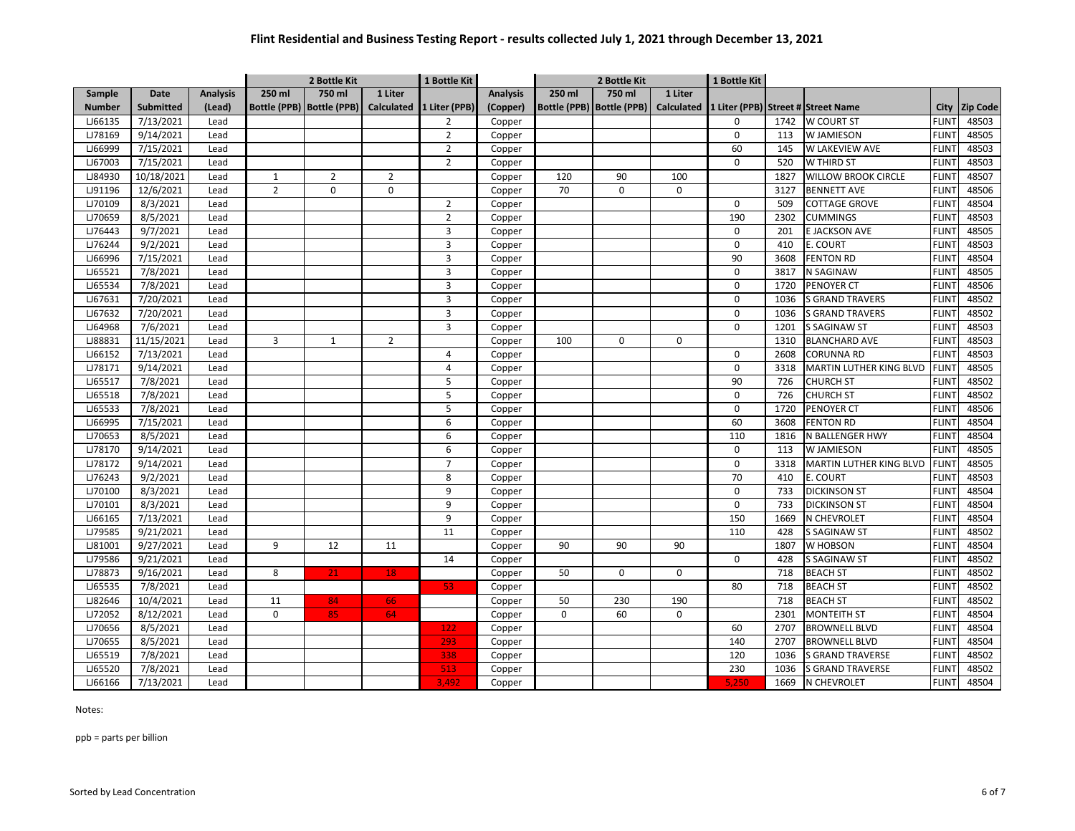| 750 ml<br>250 ml<br>1 Liter<br>250 ml<br>750 ml<br>1 Liter<br>Sample<br><b>Date</b><br><b>Analysis</b><br><b>Analysis</b><br><b>Submitted</b><br>Bottle (PPB)   Bottle (PPB)<br>Calculated<br>1 Liter (PPB)<br>Bottle (PPB)   Bottle (PPB)<br>Calculated 1 Liter (PPB) Street # Street Name<br><b>Number</b><br>(Lead)<br>(Copper)<br>City<br><b>Zip Code</b><br>LJ66135<br>7/13/2021<br><b>W COURT ST</b><br>48503<br>Lead<br>$\overline{2}$<br>Copper<br>$\mathbf 0$<br>1742<br><b>FLINT</b><br>9/14/2021<br>$\overline{2}$<br><b>FLINT</b><br>48505<br>LJ78169<br>Copper<br>$\mathbf 0$<br>113<br><b>W JAMIESON</b><br>Lead<br>7/15/2021<br>60<br>48503<br>LJ66999<br>Lead<br>$\overline{2}$<br>W LAKEVIEW AVE<br><b>FLINT</b><br>Copper<br>145<br>$\overline{2}$<br>LJ67003<br>7/15/2021<br>$\mathbf 0$<br>W THIRD ST<br>48503<br>Lead<br>Copper<br>520<br><b>FLINT</b><br>10/18/2021<br>$\overline{2}$<br><b>FLINT</b><br>48507<br>LJ84930<br>$\mathbf{1}$<br>$\overline{2}$<br>Copper<br>120<br>90<br>100<br>1827<br><b>WILLOW BROOK CIRCLE</b><br>Lead<br>LJ91196<br>12/6/2021<br>$\overline{2}$<br>$\mathbf 0$<br>$\mathbf 0$<br>70<br>$\mathsf 0$<br>48506<br>Lead<br>0<br>3127<br><b>BENNETT AVE</b><br><b>FLINT</b><br>Copper<br>48504<br>LJ70109<br>8/3/2021<br><b>COTTAGE GROVE</b><br><b>FLINT</b><br>Lead<br>$\overline{2}$<br>Copper<br>$\mathbf 0$<br>509<br>8/5/2021<br>$\overline{2}$<br>190<br>48503<br>LJ70659<br>2302<br><b>CUMMINGS</b><br><b>FLINT</b><br>Lead<br>Copper<br>LJ76443<br>9/7/2021<br>48505<br>Lead<br>3<br>$\mathbf 0$<br>201<br>E JACKSON AVE<br><b>FLINT</b><br>Copper<br>9/2/2021<br>3<br>$\mathbf 0$<br>48503<br>LJ76244<br>Lead<br>410<br>E. COURT<br><b>FLINT</b><br>Copper<br>7/15/2021<br>$\overline{3}$<br>LJ66996<br>90<br>3608<br><b>FENTON RD</b><br><b>FLINT</b><br>48504<br>Lead<br>Copper<br>LJ65521<br>7/8/2021<br><b>FLINT</b><br>48505<br>Lead<br>3<br>$\mathbf 0$<br>3817<br>N SAGINAW<br>Copper<br>7/8/2021<br>3<br><b>FLINT</b><br>48506<br>LJ65534<br>Lead<br>$\mathbf 0$<br>1720<br>PENOYER CT<br>Copper<br>48502<br>LJ67631<br>7/20/2021<br>3<br>$\mathbf 0$<br>1036<br><b>S GRAND TRAVERS</b><br><b>FLINT</b><br>Lead<br>Copper<br>7/20/2021<br>3<br>48502<br>LJ67632<br>$\mathbf 0$<br>1036<br><b>S GRAND TRAVERS</b><br><b>FLINT</b><br>Lead<br>Copper<br>LJ64968<br>7/6/2021<br>3<br><b>S SAGINAW ST</b><br><b>FLINT</b><br>48503<br>Lead<br>$\mathbf 0$<br>Copper<br>1201<br>LJ88831<br>48503<br>11/15/2021<br>$\overline{\mathbf{3}}$<br>$\mathbf 1$<br>$\overline{2}$<br>100<br>$\mathbf 0$<br>$\mathbf 0$<br>1310<br><b>BLANCHARD AVE</b><br><b>FLIN</b><br>Lead<br>Copper<br>7/13/2021<br>48503<br>LJ66152<br>4<br>$\mathbf 0$<br>2608<br>CORUNNA RD<br><b>FLINT</b><br>Lead<br>Copper<br>LJ78171<br>9/14/2021<br>4<br>$\mathbf 0$<br><b>MARTIN LUTHER KING BLVD</b><br><b>FLINT</b><br>48505<br>Lead<br>3318<br>Copper<br>90<br>48502<br>LJ65517<br>7/8/2021<br>5<br>726<br><b>CHURCH ST</b><br><b>FLINT</b><br>Lead<br>Copper<br>5<br>7/8/2021<br>$\mathbf 0$<br><b>CHURCH ST</b><br>48502<br>LJ65518<br>726<br><b>FLINT</b><br>Lead<br>Copper<br>7/8/2021<br>5<br>LJ65533<br>$\mathbf 0$<br>1720<br><b>PENOYER CT</b><br><b>FLINT</b><br>48506<br>Lead<br>Copper<br>LJ66995<br>7/15/2021<br>6<br>60<br>3608<br><b>FENTON RD</b><br><b>FLINT</b><br>48504<br>Lead<br>Copper<br>LJ70653<br>8/5/2021<br>6<br>110<br>48504<br>Lead<br>1816<br>N BALLENGER HWY<br><b>FLINT</b><br>Copper<br><b>LJ78170</b><br>48505<br>9/14/2021<br>6<br>$\mathbf 0$<br>W JAMIESON<br><b>FLINT</b><br>Lead<br>Copper<br>113<br>LJ78172<br>9/14/2021<br>$\overline{7}$<br>$\mathbf 0$<br>3318<br>MARTIN LUTHER KING BLVD<br><b>FLINT</b><br>48505<br>Lead<br>Copper<br>LJ76243<br>9/2/2021<br>8<br>70<br><b>FLINT</b><br>48503<br>Lead<br>410<br>E. COURT<br>Copper<br>LJ70100<br>8/3/2021<br>$\mathbf 0$<br>48504<br>9<br>733<br><b>DICKINSON ST</b><br><b>FLINT</b><br>Lead<br>Copper<br>8/3/2021<br>9<br>$\mathbf 0$<br><b>DICKINSON ST</b><br>LJ70101<br>733<br><b>FLINT</b><br>48504<br>Lead<br>Copper<br>48504<br>LJ66165<br>7/13/2021<br>9<br>150<br><b>FLINT</b><br>1669<br>N CHEVROLET<br>Lead<br>Copper<br>LJ79585<br>9/21/2021<br>48502<br>11<br>110<br><b>S SAGINAW ST</b><br><b>FLINT</b><br>Lead<br>Copper<br>428<br>9/27/2021<br>9<br>12<br>90<br>90<br>48504<br>LJ81001<br>Lead<br>11<br>90<br>1807<br>W HOBSON<br><b>FLINT</b><br>Copper<br>48502<br>LJ79586<br>9/21/2021<br>14<br>$\Omega$<br><b>S SAGINAW ST</b><br><b>FLINT</b><br>Lead<br>428<br>Copper<br>LJ78873<br>9/16/2021<br>48502<br>8<br>21<br>18<br>50<br>$\mathbf 0$<br>0<br>718<br><b>BEACH ST</b><br><b>FLINT</b><br>Lead<br>Copper<br>LJ65535<br>7/8/2021<br>718<br><b>BEACH ST</b><br><b>FLINT</b><br>48502<br>Lead<br>53<br>80<br>Copper<br>48502<br>LJ82646<br>10/4/2021<br>11<br>84<br>66<br>50<br>230<br>190<br>718<br><b>BEACH ST</b><br>Lead<br><b>FLINT</b><br>Copper<br>LJ72052<br>8/12/2021<br>$\mathbf 0$<br><b>MONTEITH ST</b><br>48504<br>0<br>60<br>0<br>2301<br><b>FLINT</b><br>Lead<br>85<br>64<br>Copper<br>48504<br>LJ70656<br>8/5/2021<br>60<br>2707<br><b>BROWNELL BLVD</b><br><b>FLINT</b><br>Lead<br>122<br>Copper<br>293<br>LJ70655<br>8/5/2021<br>140<br>2707<br><b>BROWNELL BLVD</b><br><b>FLINT</b><br>48504<br>Lead<br>Copper<br>7/8/2021<br>120<br>48502<br>LJ65519<br>338<br>1036<br>S GRAND TRAVERSE<br><b>FLINT</b><br>Lead<br>Copper<br>LJ65520<br>7/8/2021<br>513<br>230<br>48502<br>Lead<br>1036<br><b>S GRAND TRAVERSE</b><br><b>FLINT</b><br>Copper |         |           |      | 2 Bottle Kit |  |  | 1 Bottle Kit |        | 2 Bottle Kit |  |  | 1 Bottle Kit |      |             |              |       |
|-------------------------------------------------------------------------------------------------------------------------------------------------------------------------------------------------------------------------------------------------------------------------------------------------------------------------------------------------------------------------------------------------------------------------------------------------------------------------------------------------------------------------------------------------------------------------------------------------------------------------------------------------------------------------------------------------------------------------------------------------------------------------------------------------------------------------------------------------------------------------------------------------------------------------------------------------------------------------------------------------------------------------------------------------------------------------------------------------------------------------------------------------------------------------------------------------------------------------------------------------------------------------------------------------------------------------------------------------------------------------------------------------------------------------------------------------------------------------------------------------------------------------------------------------------------------------------------------------------------------------------------------------------------------------------------------------------------------------------------------------------------------------------------------------------------------------------------------------------------------------------------------------------------------------------------------------------------------------------------------------------------------------------------------------------------------------------------------------------------------------------------------------------------------------------------------------------------------------------------------------------------------------------------------------------------------------------------------------------------------------------------------------------------------------------------------------------------------------------------------------------------------------------------------------------------------------------------------------------------------------------------------------------------------------------------------------------------------------------------------------------------------------------------------------------------------------------------------------------------------------------------------------------------------------------------------------------------------------------------------------------------------------------------------------------------------------------------------------------------------------------------------------------------------------------------------------------------------------------------------------------------------------------------------------------------------------------------------------------------------------------------------------------------------------------------------------------------------------------------------------------------------------------------------------------------------------------------------------------------------------------------------------------------------------------------------------------------------------------------------------------------------------------------------------------------------------------------------------------------------------------------------------------------------------------------------------------------------------------------------------------------------------------------------------------------------------------------------------------------------------------------------------------------------------------------------------------------------------------------------------------------------------------------------------------------------------------------------------------------------------------------------------------------------------------------------------------------------------------------------------------------------------------------------------------------------------------------------------------------------------------------------------------------------------------------------------------------------------------------------------------------------------------------------------------------------------------------------------------------------------------------------------------------------------------------------------------------------------------------------------------------------------------------------------------------------------------------------------------------------------------------------------------------------------------------------------------------------------------------------------------------------------------------------------------------------------------------------------------------------------------------------------------------------------------------------------------------------------------------------------------------------------------|---------|-----------|------|--------------|--|--|--------------|--------|--------------|--|--|--------------|------|-------------|--------------|-------|
|                                                                                                                                                                                                                                                                                                                                                                                                                                                                                                                                                                                                                                                                                                                                                                                                                                                                                                                                                                                                                                                                                                                                                                                                                                                                                                                                                                                                                                                                                                                                                                                                                                                                                                                                                                                                                                                                                                                                                                                                                                                                                                                                                                                                                                                                                                                                                                                                                                                                                                                                                                                                                                                                                                                                                                                                                                                                                                                                                                                                                                                                                                                                                                                                                                                                                                                                                                                                                                                                                                                                                                                                                                                                                                                                                                                                                                                                                                                                                                                                                                                                                                                                                                                                                                                                                                                                                                                                                                                                                                                                                                                                                                                                                                                                                                                                                                                                                                                                                                                                                                                                                                                                                                                                                                                                                                                                                                                                                                                                                                                               |         |           |      |              |  |  |              |        |              |  |  |              |      |             |              |       |
|                                                                                                                                                                                                                                                                                                                                                                                                                                                                                                                                                                                                                                                                                                                                                                                                                                                                                                                                                                                                                                                                                                                                                                                                                                                                                                                                                                                                                                                                                                                                                                                                                                                                                                                                                                                                                                                                                                                                                                                                                                                                                                                                                                                                                                                                                                                                                                                                                                                                                                                                                                                                                                                                                                                                                                                                                                                                                                                                                                                                                                                                                                                                                                                                                                                                                                                                                                                                                                                                                                                                                                                                                                                                                                                                                                                                                                                                                                                                                                                                                                                                                                                                                                                                                                                                                                                                                                                                                                                                                                                                                                                                                                                                                                                                                                                                                                                                                                                                                                                                                                                                                                                                                                                                                                                                                                                                                                                                                                                                                                                               |         |           |      |              |  |  |              |        |              |  |  |              |      |             |              |       |
|                                                                                                                                                                                                                                                                                                                                                                                                                                                                                                                                                                                                                                                                                                                                                                                                                                                                                                                                                                                                                                                                                                                                                                                                                                                                                                                                                                                                                                                                                                                                                                                                                                                                                                                                                                                                                                                                                                                                                                                                                                                                                                                                                                                                                                                                                                                                                                                                                                                                                                                                                                                                                                                                                                                                                                                                                                                                                                                                                                                                                                                                                                                                                                                                                                                                                                                                                                                                                                                                                                                                                                                                                                                                                                                                                                                                                                                                                                                                                                                                                                                                                                                                                                                                                                                                                                                                                                                                                                                                                                                                                                                                                                                                                                                                                                                                                                                                                                                                                                                                                                                                                                                                                                                                                                                                                                                                                                                                                                                                                                                               |         |           |      |              |  |  |              |        |              |  |  |              |      |             |              |       |
|                                                                                                                                                                                                                                                                                                                                                                                                                                                                                                                                                                                                                                                                                                                                                                                                                                                                                                                                                                                                                                                                                                                                                                                                                                                                                                                                                                                                                                                                                                                                                                                                                                                                                                                                                                                                                                                                                                                                                                                                                                                                                                                                                                                                                                                                                                                                                                                                                                                                                                                                                                                                                                                                                                                                                                                                                                                                                                                                                                                                                                                                                                                                                                                                                                                                                                                                                                                                                                                                                                                                                                                                                                                                                                                                                                                                                                                                                                                                                                                                                                                                                                                                                                                                                                                                                                                                                                                                                                                                                                                                                                                                                                                                                                                                                                                                                                                                                                                                                                                                                                                                                                                                                                                                                                                                                                                                                                                                                                                                                                                               |         |           |      |              |  |  |              |        |              |  |  |              |      |             |              |       |
|                                                                                                                                                                                                                                                                                                                                                                                                                                                                                                                                                                                                                                                                                                                                                                                                                                                                                                                                                                                                                                                                                                                                                                                                                                                                                                                                                                                                                                                                                                                                                                                                                                                                                                                                                                                                                                                                                                                                                                                                                                                                                                                                                                                                                                                                                                                                                                                                                                                                                                                                                                                                                                                                                                                                                                                                                                                                                                                                                                                                                                                                                                                                                                                                                                                                                                                                                                                                                                                                                                                                                                                                                                                                                                                                                                                                                                                                                                                                                                                                                                                                                                                                                                                                                                                                                                                                                                                                                                                                                                                                                                                                                                                                                                                                                                                                                                                                                                                                                                                                                                                                                                                                                                                                                                                                                                                                                                                                                                                                                                                               |         |           |      |              |  |  |              |        |              |  |  |              |      |             |              |       |
|                                                                                                                                                                                                                                                                                                                                                                                                                                                                                                                                                                                                                                                                                                                                                                                                                                                                                                                                                                                                                                                                                                                                                                                                                                                                                                                                                                                                                                                                                                                                                                                                                                                                                                                                                                                                                                                                                                                                                                                                                                                                                                                                                                                                                                                                                                                                                                                                                                                                                                                                                                                                                                                                                                                                                                                                                                                                                                                                                                                                                                                                                                                                                                                                                                                                                                                                                                                                                                                                                                                                                                                                                                                                                                                                                                                                                                                                                                                                                                                                                                                                                                                                                                                                                                                                                                                                                                                                                                                                                                                                                                                                                                                                                                                                                                                                                                                                                                                                                                                                                                                                                                                                                                                                                                                                                                                                                                                                                                                                                                                               |         |           |      |              |  |  |              |        |              |  |  |              |      |             |              |       |
|                                                                                                                                                                                                                                                                                                                                                                                                                                                                                                                                                                                                                                                                                                                                                                                                                                                                                                                                                                                                                                                                                                                                                                                                                                                                                                                                                                                                                                                                                                                                                                                                                                                                                                                                                                                                                                                                                                                                                                                                                                                                                                                                                                                                                                                                                                                                                                                                                                                                                                                                                                                                                                                                                                                                                                                                                                                                                                                                                                                                                                                                                                                                                                                                                                                                                                                                                                                                                                                                                                                                                                                                                                                                                                                                                                                                                                                                                                                                                                                                                                                                                                                                                                                                                                                                                                                                                                                                                                                                                                                                                                                                                                                                                                                                                                                                                                                                                                                                                                                                                                                                                                                                                                                                                                                                                                                                                                                                                                                                                                                               |         |           |      |              |  |  |              |        |              |  |  |              |      |             |              |       |
|                                                                                                                                                                                                                                                                                                                                                                                                                                                                                                                                                                                                                                                                                                                                                                                                                                                                                                                                                                                                                                                                                                                                                                                                                                                                                                                                                                                                                                                                                                                                                                                                                                                                                                                                                                                                                                                                                                                                                                                                                                                                                                                                                                                                                                                                                                                                                                                                                                                                                                                                                                                                                                                                                                                                                                                                                                                                                                                                                                                                                                                                                                                                                                                                                                                                                                                                                                                                                                                                                                                                                                                                                                                                                                                                                                                                                                                                                                                                                                                                                                                                                                                                                                                                                                                                                                                                                                                                                                                                                                                                                                                                                                                                                                                                                                                                                                                                                                                                                                                                                                                                                                                                                                                                                                                                                                                                                                                                                                                                                                                               |         |           |      |              |  |  |              |        |              |  |  |              |      |             |              |       |
|                                                                                                                                                                                                                                                                                                                                                                                                                                                                                                                                                                                                                                                                                                                                                                                                                                                                                                                                                                                                                                                                                                                                                                                                                                                                                                                                                                                                                                                                                                                                                                                                                                                                                                                                                                                                                                                                                                                                                                                                                                                                                                                                                                                                                                                                                                                                                                                                                                                                                                                                                                                                                                                                                                                                                                                                                                                                                                                                                                                                                                                                                                                                                                                                                                                                                                                                                                                                                                                                                                                                                                                                                                                                                                                                                                                                                                                                                                                                                                                                                                                                                                                                                                                                                                                                                                                                                                                                                                                                                                                                                                                                                                                                                                                                                                                                                                                                                                                                                                                                                                                                                                                                                                                                                                                                                                                                                                                                                                                                                                                               |         |           |      |              |  |  |              |        |              |  |  |              |      |             |              |       |
|                                                                                                                                                                                                                                                                                                                                                                                                                                                                                                                                                                                                                                                                                                                                                                                                                                                                                                                                                                                                                                                                                                                                                                                                                                                                                                                                                                                                                                                                                                                                                                                                                                                                                                                                                                                                                                                                                                                                                                                                                                                                                                                                                                                                                                                                                                                                                                                                                                                                                                                                                                                                                                                                                                                                                                                                                                                                                                                                                                                                                                                                                                                                                                                                                                                                                                                                                                                                                                                                                                                                                                                                                                                                                                                                                                                                                                                                                                                                                                                                                                                                                                                                                                                                                                                                                                                                                                                                                                                                                                                                                                                                                                                                                                                                                                                                                                                                                                                                                                                                                                                                                                                                                                                                                                                                                                                                                                                                                                                                                                                               |         |           |      |              |  |  |              |        |              |  |  |              |      |             |              |       |
|                                                                                                                                                                                                                                                                                                                                                                                                                                                                                                                                                                                                                                                                                                                                                                                                                                                                                                                                                                                                                                                                                                                                                                                                                                                                                                                                                                                                                                                                                                                                                                                                                                                                                                                                                                                                                                                                                                                                                                                                                                                                                                                                                                                                                                                                                                                                                                                                                                                                                                                                                                                                                                                                                                                                                                                                                                                                                                                                                                                                                                                                                                                                                                                                                                                                                                                                                                                                                                                                                                                                                                                                                                                                                                                                                                                                                                                                                                                                                                                                                                                                                                                                                                                                                                                                                                                                                                                                                                                                                                                                                                                                                                                                                                                                                                                                                                                                                                                                                                                                                                                                                                                                                                                                                                                                                                                                                                                                                                                                                                                               |         |           |      |              |  |  |              |        |              |  |  |              |      |             |              |       |
|                                                                                                                                                                                                                                                                                                                                                                                                                                                                                                                                                                                                                                                                                                                                                                                                                                                                                                                                                                                                                                                                                                                                                                                                                                                                                                                                                                                                                                                                                                                                                                                                                                                                                                                                                                                                                                                                                                                                                                                                                                                                                                                                                                                                                                                                                                                                                                                                                                                                                                                                                                                                                                                                                                                                                                                                                                                                                                                                                                                                                                                                                                                                                                                                                                                                                                                                                                                                                                                                                                                                                                                                                                                                                                                                                                                                                                                                                                                                                                                                                                                                                                                                                                                                                                                                                                                                                                                                                                                                                                                                                                                                                                                                                                                                                                                                                                                                                                                                                                                                                                                                                                                                                                                                                                                                                                                                                                                                                                                                                                                               |         |           |      |              |  |  |              |        |              |  |  |              |      |             |              |       |
|                                                                                                                                                                                                                                                                                                                                                                                                                                                                                                                                                                                                                                                                                                                                                                                                                                                                                                                                                                                                                                                                                                                                                                                                                                                                                                                                                                                                                                                                                                                                                                                                                                                                                                                                                                                                                                                                                                                                                                                                                                                                                                                                                                                                                                                                                                                                                                                                                                                                                                                                                                                                                                                                                                                                                                                                                                                                                                                                                                                                                                                                                                                                                                                                                                                                                                                                                                                                                                                                                                                                                                                                                                                                                                                                                                                                                                                                                                                                                                                                                                                                                                                                                                                                                                                                                                                                                                                                                                                                                                                                                                                                                                                                                                                                                                                                                                                                                                                                                                                                                                                                                                                                                                                                                                                                                                                                                                                                                                                                                                                               |         |           |      |              |  |  |              |        |              |  |  |              |      |             |              |       |
|                                                                                                                                                                                                                                                                                                                                                                                                                                                                                                                                                                                                                                                                                                                                                                                                                                                                                                                                                                                                                                                                                                                                                                                                                                                                                                                                                                                                                                                                                                                                                                                                                                                                                                                                                                                                                                                                                                                                                                                                                                                                                                                                                                                                                                                                                                                                                                                                                                                                                                                                                                                                                                                                                                                                                                                                                                                                                                                                                                                                                                                                                                                                                                                                                                                                                                                                                                                                                                                                                                                                                                                                                                                                                                                                                                                                                                                                                                                                                                                                                                                                                                                                                                                                                                                                                                                                                                                                                                                                                                                                                                                                                                                                                                                                                                                                                                                                                                                                                                                                                                                                                                                                                                                                                                                                                                                                                                                                                                                                                                                               |         |           |      |              |  |  |              |        |              |  |  |              |      |             |              |       |
|                                                                                                                                                                                                                                                                                                                                                                                                                                                                                                                                                                                                                                                                                                                                                                                                                                                                                                                                                                                                                                                                                                                                                                                                                                                                                                                                                                                                                                                                                                                                                                                                                                                                                                                                                                                                                                                                                                                                                                                                                                                                                                                                                                                                                                                                                                                                                                                                                                                                                                                                                                                                                                                                                                                                                                                                                                                                                                                                                                                                                                                                                                                                                                                                                                                                                                                                                                                                                                                                                                                                                                                                                                                                                                                                                                                                                                                                                                                                                                                                                                                                                                                                                                                                                                                                                                                                                                                                                                                                                                                                                                                                                                                                                                                                                                                                                                                                                                                                                                                                                                                                                                                                                                                                                                                                                                                                                                                                                                                                                                                               |         |           |      |              |  |  |              |        |              |  |  |              |      |             |              |       |
|                                                                                                                                                                                                                                                                                                                                                                                                                                                                                                                                                                                                                                                                                                                                                                                                                                                                                                                                                                                                                                                                                                                                                                                                                                                                                                                                                                                                                                                                                                                                                                                                                                                                                                                                                                                                                                                                                                                                                                                                                                                                                                                                                                                                                                                                                                                                                                                                                                                                                                                                                                                                                                                                                                                                                                                                                                                                                                                                                                                                                                                                                                                                                                                                                                                                                                                                                                                                                                                                                                                                                                                                                                                                                                                                                                                                                                                                                                                                                                                                                                                                                                                                                                                                                                                                                                                                                                                                                                                                                                                                                                                                                                                                                                                                                                                                                                                                                                                                                                                                                                                                                                                                                                                                                                                                                                                                                                                                                                                                                                                               |         |           |      |              |  |  |              |        |              |  |  |              |      |             |              |       |
|                                                                                                                                                                                                                                                                                                                                                                                                                                                                                                                                                                                                                                                                                                                                                                                                                                                                                                                                                                                                                                                                                                                                                                                                                                                                                                                                                                                                                                                                                                                                                                                                                                                                                                                                                                                                                                                                                                                                                                                                                                                                                                                                                                                                                                                                                                                                                                                                                                                                                                                                                                                                                                                                                                                                                                                                                                                                                                                                                                                                                                                                                                                                                                                                                                                                                                                                                                                                                                                                                                                                                                                                                                                                                                                                                                                                                                                                                                                                                                                                                                                                                                                                                                                                                                                                                                                                                                                                                                                                                                                                                                                                                                                                                                                                                                                                                                                                                                                                                                                                                                                                                                                                                                                                                                                                                                                                                                                                                                                                                                                               |         |           |      |              |  |  |              |        |              |  |  |              |      |             |              |       |
|                                                                                                                                                                                                                                                                                                                                                                                                                                                                                                                                                                                                                                                                                                                                                                                                                                                                                                                                                                                                                                                                                                                                                                                                                                                                                                                                                                                                                                                                                                                                                                                                                                                                                                                                                                                                                                                                                                                                                                                                                                                                                                                                                                                                                                                                                                                                                                                                                                                                                                                                                                                                                                                                                                                                                                                                                                                                                                                                                                                                                                                                                                                                                                                                                                                                                                                                                                                                                                                                                                                                                                                                                                                                                                                                                                                                                                                                                                                                                                                                                                                                                                                                                                                                                                                                                                                                                                                                                                                                                                                                                                                                                                                                                                                                                                                                                                                                                                                                                                                                                                                                                                                                                                                                                                                                                                                                                                                                                                                                                                                               |         |           |      |              |  |  |              |        |              |  |  |              |      |             |              |       |
|                                                                                                                                                                                                                                                                                                                                                                                                                                                                                                                                                                                                                                                                                                                                                                                                                                                                                                                                                                                                                                                                                                                                                                                                                                                                                                                                                                                                                                                                                                                                                                                                                                                                                                                                                                                                                                                                                                                                                                                                                                                                                                                                                                                                                                                                                                                                                                                                                                                                                                                                                                                                                                                                                                                                                                                                                                                                                                                                                                                                                                                                                                                                                                                                                                                                                                                                                                                                                                                                                                                                                                                                                                                                                                                                                                                                                                                                                                                                                                                                                                                                                                                                                                                                                                                                                                                                                                                                                                                                                                                                                                                                                                                                                                                                                                                                                                                                                                                                                                                                                                                                                                                                                                                                                                                                                                                                                                                                                                                                                                                               |         |           |      |              |  |  |              |        |              |  |  |              |      |             |              |       |
|                                                                                                                                                                                                                                                                                                                                                                                                                                                                                                                                                                                                                                                                                                                                                                                                                                                                                                                                                                                                                                                                                                                                                                                                                                                                                                                                                                                                                                                                                                                                                                                                                                                                                                                                                                                                                                                                                                                                                                                                                                                                                                                                                                                                                                                                                                                                                                                                                                                                                                                                                                                                                                                                                                                                                                                                                                                                                                                                                                                                                                                                                                                                                                                                                                                                                                                                                                                                                                                                                                                                                                                                                                                                                                                                                                                                                                                                                                                                                                                                                                                                                                                                                                                                                                                                                                                                                                                                                                                                                                                                                                                                                                                                                                                                                                                                                                                                                                                                                                                                                                                                                                                                                                                                                                                                                                                                                                                                                                                                                                                               |         |           |      |              |  |  |              |        |              |  |  |              |      |             |              |       |
|                                                                                                                                                                                                                                                                                                                                                                                                                                                                                                                                                                                                                                                                                                                                                                                                                                                                                                                                                                                                                                                                                                                                                                                                                                                                                                                                                                                                                                                                                                                                                                                                                                                                                                                                                                                                                                                                                                                                                                                                                                                                                                                                                                                                                                                                                                                                                                                                                                                                                                                                                                                                                                                                                                                                                                                                                                                                                                                                                                                                                                                                                                                                                                                                                                                                                                                                                                                                                                                                                                                                                                                                                                                                                                                                                                                                                                                                                                                                                                                                                                                                                                                                                                                                                                                                                                                                                                                                                                                                                                                                                                                                                                                                                                                                                                                                                                                                                                                                                                                                                                                                                                                                                                                                                                                                                                                                                                                                                                                                                                                               |         |           |      |              |  |  |              |        |              |  |  |              |      |             |              |       |
|                                                                                                                                                                                                                                                                                                                                                                                                                                                                                                                                                                                                                                                                                                                                                                                                                                                                                                                                                                                                                                                                                                                                                                                                                                                                                                                                                                                                                                                                                                                                                                                                                                                                                                                                                                                                                                                                                                                                                                                                                                                                                                                                                                                                                                                                                                                                                                                                                                                                                                                                                                                                                                                                                                                                                                                                                                                                                                                                                                                                                                                                                                                                                                                                                                                                                                                                                                                                                                                                                                                                                                                                                                                                                                                                                                                                                                                                                                                                                                                                                                                                                                                                                                                                                                                                                                                                                                                                                                                                                                                                                                                                                                                                                                                                                                                                                                                                                                                                                                                                                                                                                                                                                                                                                                                                                                                                                                                                                                                                                                                               |         |           |      |              |  |  |              |        |              |  |  |              |      |             |              |       |
|                                                                                                                                                                                                                                                                                                                                                                                                                                                                                                                                                                                                                                                                                                                                                                                                                                                                                                                                                                                                                                                                                                                                                                                                                                                                                                                                                                                                                                                                                                                                                                                                                                                                                                                                                                                                                                                                                                                                                                                                                                                                                                                                                                                                                                                                                                                                                                                                                                                                                                                                                                                                                                                                                                                                                                                                                                                                                                                                                                                                                                                                                                                                                                                                                                                                                                                                                                                                                                                                                                                                                                                                                                                                                                                                                                                                                                                                                                                                                                                                                                                                                                                                                                                                                                                                                                                                                                                                                                                                                                                                                                                                                                                                                                                                                                                                                                                                                                                                                                                                                                                                                                                                                                                                                                                                                                                                                                                                                                                                                                                               |         |           |      |              |  |  |              |        |              |  |  |              |      |             |              |       |
|                                                                                                                                                                                                                                                                                                                                                                                                                                                                                                                                                                                                                                                                                                                                                                                                                                                                                                                                                                                                                                                                                                                                                                                                                                                                                                                                                                                                                                                                                                                                                                                                                                                                                                                                                                                                                                                                                                                                                                                                                                                                                                                                                                                                                                                                                                                                                                                                                                                                                                                                                                                                                                                                                                                                                                                                                                                                                                                                                                                                                                                                                                                                                                                                                                                                                                                                                                                                                                                                                                                                                                                                                                                                                                                                                                                                                                                                                                                                                                                                                                                                                                                                                                                                                                                                                                                                                                                                                                                                                                                                                                                                                                                                                                                                                                                                                                                                                                                                                                                                                                                                                                                                                                                                                                                                                                                                                                                                                                                                                                                               |         |           |      |              |  |  |              |        |              |  |  |              |      |             |              |       |
|                                                                                                                                                                                                                                                                                                                                                                                                                                                                                                                                                                                                                                                                                                                                                                                                                                                                                                                                                                                                                                                                                                                                                                                                                                                                                                                                                                                                                                                                                                                                                                                                                                                                                                                                                                                                                                                                                                                                                                                                                                                                                                                                                                                                                                                                                                                                                                                                                                                                                                                                                                                                                                                                                                                                                                                                                                                                                                                                                                                                                                                                                                                                                                                                                                                                                                                                                                                                                                                                                                                                                                                                                                                                                                                                                                                                                                                                                                                                                                                                                                                                                                                                                                                                                                                                                                                                                                                                                                                                                                                                                                                                                                                                                                                                                                                                                                                                                                                                                                                                                                                                                                                                                                                                                                                                                                                                                                                                                                                                                                                               |         |           |      |              |  |  |              |        |              |  |  |              |      |             |              |       |
|                                                                                                                                                                                                                                                                                                                                                                                                                                                                                                                                                                                                                                                                                                                                                                                                                                                                                                                                                                                                                                                                                                                                                                                                                                                                                                                                                                                                                                                                                                                                                                                                                                                                                                                                                                                                                                                                                                                                                                                                                                                                                                                                                                                                                                                                                                                                                                                                                                                                                                                                                                                                                                                                                                                                                                                                                                                                                                                                                                                                                                                                                                                                                                                                                                                                                                                                                                                                                                                                                                                                                                                                                                                                                                                                                                                                                                                                                                                                                                                                                                                                                                                                                                                                                                                                                                                                                                                                                                                                                                                                                                                                                                                                                                                                                                                                                                                                                                                                                                                                                                                                                                                                                                                                                                                                                                                                                                                                                                                                                                                               |         |           |      |              |  |  |              |        |              |  |  |              |      |             |              |       |
|                                                                                                                                                                                                                                                                                                                                                                                                                                                                                                                                                                                                                                                                                                                                                                                                                                                                                                                                                                                                                                                                                                                                                                                                                                                                                                                                                                                                                                                                                                                                                                                                                                                                                                                                                                                                                                                                                                                                                                                                                                                                                                                                                                                                                                                                                                                                                                                                                                                                                                                                                                                                                                                                                                                                                                                                                                                                                                                                                                                                                                                                                                                                                                                                                                                                                                                                                                                                                                                                                                                                                                                                                                                                                                                                                                                                                                                                                                                                                                                                                                                                                                                                                                                                                                                                                                                                                                                                                                                                                                                                                                                                                                                                                                                                                                                                                                                                                                                                                                                                                                                                                                                                                                                                                                                                                                                                                                                                                                                                                                                               |         |           |      |              |  |  |              |        |              |  |  |              |      |             |              |       |
|                                                                                                                                                                                                                                                                                                                                                                                                                                                                                                                                                                                                                                                                                                                                                                                                                                                                                                                                                                                                                                                                                                                                                                                                                                                                                                                                                                                                                                                                                                                                                                                                                                                                                                                                                                                                                                                                                                                                                                                                                                                                                                                                                                                                                                                                                                                                                                                                                                                                                                                                                                                                                                                                                                                                                                                                                                                                                                                                                                                                                                                                                                                                                                                                                                                                                                                                                                                                                                                                                                                                                                                                                                                                                                                                                                                                                                                                                                                                                                                                                                                                                                                                                                                                                                                                                                                                                                                                                                                                                                                                                                                                                                                                                                                                                                                                                                                                                                                                                                                                                                                                                                                                                                                                                                                                                                                                                                                                                                                                                                                               |         |           |      |              |  |  |              |        |              |  |  |              |      |             |              |       |
|                                                                                                                                                                                                                                                                                                                                                                                                                                                                                                                                                                                                                                                                                                                                                                                                                                                                                                                                                                                                                                                                                                                                                                                                                                                                                                                                                                                                                                                                                                                                                                                                                                                                                                                                                                                                                                                                                                                                                                                                                                                                                                                                                                                                                                                                                                                                                                                                                                                                                                                                                                                                                                                                                                                                                                                                                                                                                                                                                                                                                                                                                                                                                                                                                                                                                                                                                                                                                                                                                                                                                                                                                                                                                                                                                                                                                                                                                                                                                                                                                                                                                                                                                                                                                                                                                                                                                                                                                                                                                                                                                                                                                                                                                                                                                                                                                                                                                                                                                                                                                                                                                                                                                                                                                                                                                                                                                                                                                                                                                                                               |         |           |      |              |  |  |              |        |              |  |  |              |      |             |              |       |
|                                                                                                                                                                                                                                                                                                                                                                                                                                                                                                                                                                                                                                                                                                                                                                                                                                                                                                                                                                                                                                                                                                                                                                                                                                                                                                                                                                                                                                                                                                                                                                                                                                                                                                                                                                                                                                                                                                                                                                                                                                                                                                                                                                                                                                                                                                                                                                                                                                                                                                                                                                                                                                                                                                                                                                                                                                                                                                                                                                                                                                                                                                                                                                                                                                                                                                                                                                                                                                                                                                                                                                                                                                                                                                                                                                                                                                                                                                                                                                                                                                                                                                                                                                                                                                                                                                                                                                                                                                                                                                                                                                                                                                                                                                                                                                                                                                                                                                                                                                                                                                                                                                                                                                                                                                                                                                                                                                                                                                                                                                                               |         |           |      |              |  |  |              |        |              |  |  |              |      |             |              |       |
|                                                                                                                                                                                                                                                                                                                                                                                                                                                                                                                                                                                                                                                                                                                                                                                                                                                                                                                                                                                                                                                                                                                                                                                                                                                                                                                                                                                                                                                                                                                                                                                                                                                                                                                                                                                                                                                                                                                                                                                                                                                                                                                                                                                                                                                                                                                                                                                                                                                                                                                                                                                                                                                                                                                                                                                                                                                                                                                                                                                                                                                                                                                                                                                                                                                                                                                                                                                                                                                                                                                                                                                                                                                                                                                                                                                                                                                                                                                                                                                                                                                                                                                                                                                                                                                                                                                                                                                                                                                                                                                                                                                                                                                                                                                                                                                                                                                                                                                                                                                                                                                                                                                                                                                                                                                                                                                                                                                                                                                                                                                               |         |           |      |              |  |  |              |        |              |  |  |              |      |             |              |       |
|                                                                                                                                                                                                                                                                                                                                                                                                                                                                                                                                                                                                                                                                                                                                                                                                                                                                                                                                                                                                                                                                                                                                                                                                                                                                                                                                                                                                                                                                                                                                                                                                                                                                                                                                                                                                                                                                                                                                                                                                                                                                                                                                                                                                                                                                                                                                                                                                                                                                                                                                                                                                                                                                                                                                                                                                                                                                                                                                                                                                                                                                                                                                                                                                                                                                                                                                                                                                                                                                                                                                                                                                                                                                                                                                                                                                                                                                                                                                                                                                                                                                                                                                                                                                                                                                                                                                                                                                                                                                                                                                                                                                                                                                                                                                                                                                                                                                                                                                                                                                                                                                                                                                                                                                                                                                                                                                                                                                                                                                                                                               |         |           |      |              |  |  |              |        |              |  |  |              |      |             |              |       |
|                                                                                                                                                                                                                                                                                                                                                                                                                                                                                                                                                                                                                                                                                                                                                                                                                                                                                                                                                                                                                                                                                                                                                                                                                                                                                                                                                                                                                                                                                                                                                                                                                                                                                                                                                                                                                                                                                                                                                                                                                                                                                                                                                                                                                                                                                                                                                                                                                                                                                                                                                                                                                                                                                                                                                                                                                                                                                                                                                                                                                                                                                                                                                                                                                                                                                                                                                                                                                                                                                                                                                                                                                                                                                                                                                                                                                                                                                                                                                                                                                                                                                                                                                                                                                                                                                                                                                                                                                                                                                                                                                                                                                                                                                                                                                                                                                                                                                                                                                                                                                                                                                                                                                                                                                                                                                                                                                                                                                                                                                                                               |         |           |      |              |  |  |              |        |              |  |  |              |      |             |              |       |
|                                                                                                                                                                                                                                                                                                                                                                                                                                                                                                                                                                                                                                                                                                                                                                                                                                                                                                                                                                                                                                                                                                                                                                                                                                                                                                                                                                                                                                                                                                                                                                                                                                                                                                                                                                                                                                                                                                                                                                                                                                                                                                                                                                                                                                                                                                                                                                                                                                                                                                                                                                                                                                                                                                                                                                                                                                                                                                                                                                                                                                                                                                                                                                                                                                                                                                                                                                                                                                                                                                                                                                                                                                                                                                                                                                                                                                                                                                                                                                                                                                                                                                                                                                                                                                                                                                                                                                                                                                                                                                                                                                                                                                                                                                                                                                                                                                                                                                                                                                                                                                                                                                                                                                                                                                                                                                                                                                                                                                                                                                                               |         |           |      |              |  |  |              |        |              |  |  |              |      |             |              |       |
|                                                                                                                                                                                                                                                                                                                                                                                                                                                                                                                                                                                                                                                                                                                                                                                                                                                                                                                                                                                                                                                                                                                                                                                                                                                                                                                                                                                                                                                                                                                                                                                                                                                                                                                                                                                                                                                                                                                                                                                                                                                                                                                                                                                                                                                                                                                                                                                                                                                                                                                                                                                                                                                                                                                                                                                                                                                                                                                                                                                                                                                                                                                                                                                                                                                                                                                                                                                                                                                                                                                                                                                                                                                                                                                                                                                                                                                                                                                                                                                                                                                                                                                                                                                                                                                                                                                                                                                                                                                                                                                                                                                                                                                                                                                                                                                                                                                                                                                                                                                                                                                                                                                                                                                                                                                                                                                                                                                                                                                                                                                               |         |           |      |              |  |  |              |        |              |  |  |              |      |             |              |       |
|                                                                                                                                                                                                                                                                                                                                                                                                                                                                                                                                                                                                                                                                                                                                                                                                                                                                                                                                                                                                                                                                                                                                                                                                                                                                                                                                                                                                                                                                                                                                                                                                                                                                                                                                                                                                                                                                                                                                                                                                                                                                                                                                                                                                                                                                                                                                                                                                                                                                                                                                                                                                                                                                                                                                                                                                                                                                                                                                                                                                                                                                                                                                                                                                                                                                                                                                                                                                                                                                                                                                                                                                                                                                                                                                                                                                                                                                                                                                                                                                                                                                                                                                                                                                                                                                                                                                                                                                                                                                                                                                                                                                                                                                                                                                                                                                                                                                                                                                                                                                                                                                                                                                                                                                                                                                                                                                                                                                                                                                                                                               |         |           |      |              |  |  |              |        |              |  |  |              |      |             |              |       |
|                                                                                                                                                                                                                                                                                                                                                                                                                                                                                                                                                                                                                                                                                                                                                                                                                                                                                                                                                                                                                                                                                                                                                                                                                                                                                                                                                                                                                                                                                                                                                                                                                                                                                                                                                                                                                                                                                                                                                                                                                                                                                                                                                                                                                                                                                                                                                                                                                                                                                                                                                                                                                                                                                                                                                                                                                                                                                                                                                                                                                                                                                                                                                                                                                                                                                                                                                                                                                                                                                                                                                                                                                                                                                                                                                                                                                                                                                                                                                                                                                                                                                                                                                                                                                                                                                                                                                                                                                                                                                                                                                                                                                                                                                                                                                                                                                                                                                                                                                                                                                                                                                                                                                                                                                                                                                                                                                                                                                                                                                                                               |         |           |      |              |  |  |              |        |              |  |  |              |      |             |              |       |
|                                                                                                                                                                                                                                                                                                                                                                                                                                                                                                                                                                                                                                                                                                                                                                                                                                                                                                                                                                                                                                                                                                                                                                                                                                                                                                                                                                                                                                                                                                                                                                                                                                                                                                                                                                                                                                                                                                                                                                                                                                                                                                                                                                                                                                                                                                                                                                                                                                                                                                                                                                                                                                                                                                                                                                                                                                                                                                                                                                                                                                                                                                                                                                                                                                                                                                                                                                                                                                                                                                                                                                                                                                                                                                                                                                                                                                                                                                                                                                                                                                                                                                                                                                                                                                                                                                                                                                                                                                                                                                                                                                                                                                                                                                                                                                                                                                                                                                                                                                                                                                                                                                                                                                                                                                                                                                                                                                                                                                                                                                                               |         |           |      |              |  |  |              |        |              |  |  |              |      |             |              |       |
|                                                                                                                                                                                                                                                                                                                                                                                                                                                                                                                                                                                                                                                                                                                                                                                                                                                                                                                                                                                                                                                                                                                                                                                                                                                                                                                                                                                                                                                                                                                                                                                                                                                                                                                                                                                                                                                                                                                                                                                                                                                                                                                                                                                                                                                                                                                                                                                                                                                                                                                                                                                                                                                                                                                                                                                                                                                                                                                                                                                                                                                                                                                                                                                                                                                                                                                                                                                                                                                                                                                                                                                                                                                                                                                                                                                                                                                                                                                                                                                                                                                                                                                                                                                                                                                                                                                                                                                                                                                                                                                                                                                                                                                                                                                                                                                                                                                                                                                                                                                                                                                                                                                                                                                                                                                                                                                                                                                                                                                                                                                               |         |           |      |              |  |  |              |        |              |  |  |              |      |             |              |       |
|                                                                                                                                                                                                                                                                                                                                                                                                                                                                                                                                                                                                                                                                                                                                                                                                                                                                                                                                                                                                                                                                                                                                                                                                                                                                                                                                                                                                                                                                                                                                                                                                                                                                                                                                                                                                                                                                                                                                                                                                                                                                                                                                                                                                                                                                                                                                                                                                                                                                                                                                                                                                                                                                                                                                                                                                                                                                                                                                                                                                                                                                                                                                                                                                                                                                                                                                                                                                                                                                                                                                                                                                                                                                                                                                                                                                                                                                                                                                                                                                                                                                                                                                                                                                                                                                                                                                                                                                                                                                                                                                                                                                                                                                                                                                                                                                                                                                                                                                                                                                                                                                                                                                                                                                                                                                                                                                                                                                                                                                                                                               |         |           |      |              |  |  |              |        |              |  |  |              |      |             |              |       |
|                                                                                                                                                                                                                                                                                                                                                                                                                                                                                                                                                                                                                                                                                                                                                                                                                                                                                                                                                                                                                                                                                                                                                                                                                                                                                                                                                                                                                                                                                                                                                                                                                                                                                                                                                                                                                                                                                                                                                                                                                                                                                                                                                                                                                                                                                                                                                                                                                                                                                                                                                                                                                                                                                                                                                                                                                                                                                                                                                                                                                                                                                                                                                                                                                                                                                                                                                                                                                                                                                                                                                                                                                                                                                                                                                                                                                                                                                                                                                                                                                                                                                                                                                                                                                                                                                                                                                                                                                                                                                                                                                                                                                                                                                                                                                                                                                                                                                                                                                                                                                                                                                                                                                                                                                                                                                                                                                                                                                                                                                                                               |         |           |      |              |  |  |              |        |              |  |  |              |      |             |              |       |
|                                                                                                                                                                                                                                                                                                                                                                                                                                                                                                                                                                                                                                                                                                                                                                                                                                                                                                                                                                                                                                                                                                                                                                                                                                                                                                                                                                                                                                                                                                                                                                                                                                                                                                                                                                                                                                                                                                                                                                                                                                                                                                                                                                                                                                                                                                                                                                                                                                                                                                                                                                                                                                                                                                                                                                                                                                                                                                                                                                                                                                                                                                                                                                                                                                                                                                                                                                                                                                                                                                                                                                                                                                                                                                                                                                                                                                                                                                                                                                                                                                                                                                                                                                                                                                                                                                                                                                                                                                                                                                                                                                                                                                                                                                                                                                                                                                                                                                                                                                                                                                                                                                                                                                                                                                                                                                                                                                                                                                                                                                                               |         |           |      |              |  |  |              |        |              |  |  |              |      |             |              |       |
|                                                                                                                                                                                                                                                                                                                                                                                                                                                                                                                                                                                                                                                                                                                                                                                                                                                                                                                                                                                                                                                                                                                                                                                                                                                                                                                                                                                                                                                                                                                                                                                                                                                                                                                                                                                                                                                                                                                                                                                                                                                                                                                                                                                                                                                                                                                                                                                                                                                                                                                                                                                                                                                                                                                                                                                                                                                                                                                                                                                                                                                                                                                                                                                                                                                                                                                                                                                                                                                                                                                                                                                                                                                                                                                                                                                                                                                                                                                                                                                                                                                                                                                                                                                                                                                                                                                                                                                                                                                                                                                                                                                                                                                                                                                                                                                                                                                                                                                                                                                                                                                                                                                                                                                                                                                                                                                                                                                                                                                                                                                               |         |           |      |              |  |  |              |        |              |  |  |              |      |             |              |       |
|                                                                                                                                                                                                                                                                                                                                                                                                                                                                                                                                                                                                                                                                                                                                                                                                                                                                                                                                                                                                                                                                                                                                                                                                                                                                                                                                                                                                                                                                                                                                                                                                                                                                                                                                                                                                                                                                                                                                                                                                                                                                                                                                                                                                                                                                                                                                                                                                                                                                                                                                                                                                                                                                                                                                                                                                                                                                                                                                                                                                                                                                                                                                                                                                                                                                                                                                                                                                                                                                                                                                                                                                                                                                                                                                                                                                                                                                                                                                                                                                                                                                                                                                                                                                                                                                                                                                                                                                                                                                                                                                                                                                                                                                                                                                                                                                                                                                                                                                                                                                                                                                                                                                                                                                                                                                                                                                                                                                                                                                                                                               | LJ66166 | 7/13/2021 | Lead |              |  |  | 3,492        | Copper |              |  |  | 5,250        | 1669 | N CHEVROLET | <b>FLINT</b> | 48504 |

Notes:

ppb = parts per billion